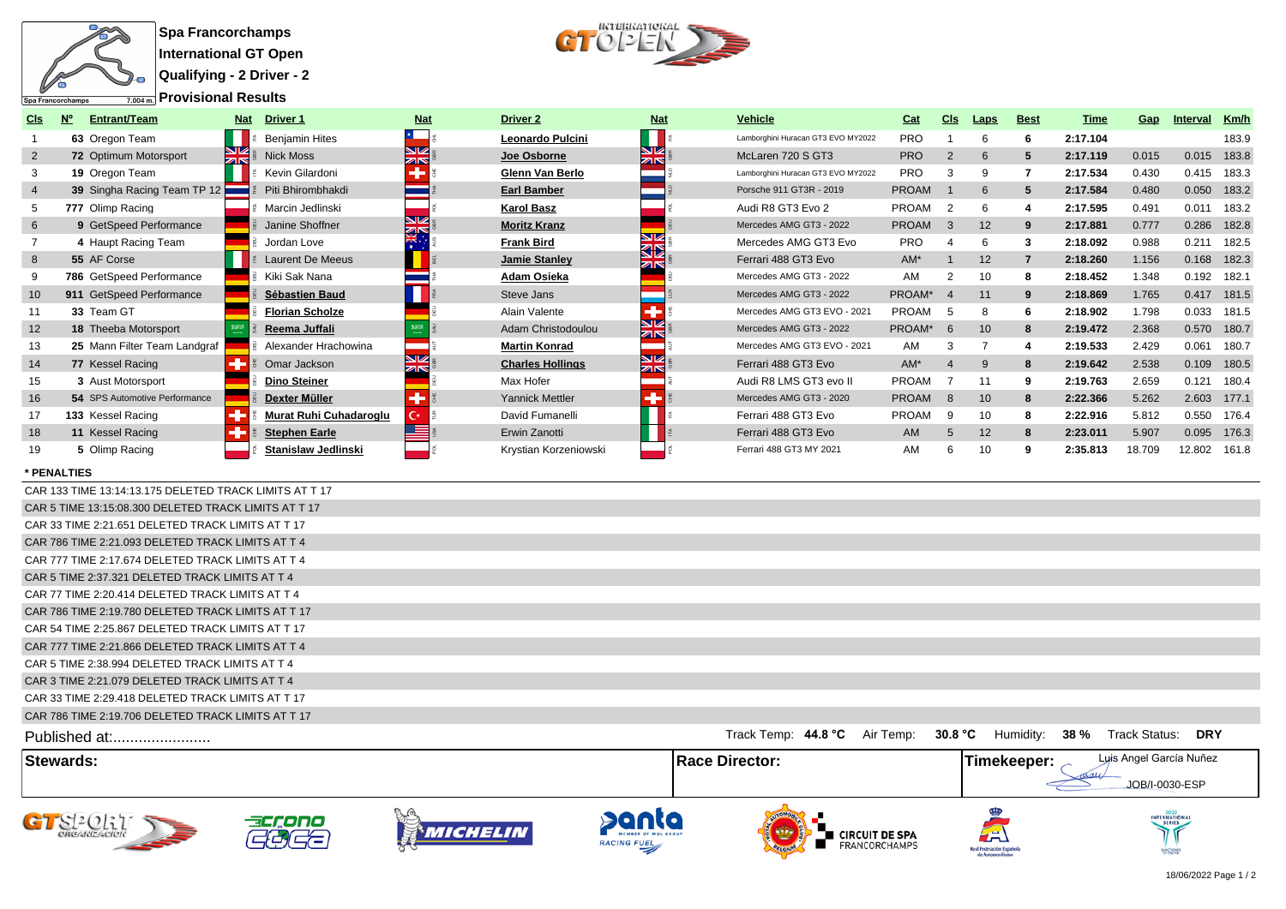

**Qualifying - 2 Driver - 2**



| CIs            | Entrant/Team                  | Nat           | <b>Driver 1</b>            | <b>Nat</b>                            | Driver <sub>2</sub>     | <b>Nat</b>     | <b>Vehicle</b>                     | Cat          | CIs            | <b>Laps</b>     | <b>Best</b>    | Time     | Gap    | Interval     | Km/h        |
|----------------|-------------------------------|---------------|----------------------------|---------------------------------------|-------------------------|----------------|------------------------------------|--------------|----------------|-----------------|----------------|----------|--------|--------------|-------------|
|                | 63 Oregon Team                |               | <b>Benjamin Hites</b>      |                                       | Leonardo Pulcini        |                | Lamborghini Huracan GT3 EVO MY2022 | <b>PRO</b>   |                | 6               |                | 2:17.104 |        |              | 183.9       |
| 2              | 72 Optimum Motorsport         | $\frac{N}{N}$ | <b>Nick Moss</b>           | <b>NIZ</b><br>$\overline{\mathbb{Z}}$ | Joe Osborne             | NK<br>ZR       | McLaren 720 S GT3                  | <b>PRO</b>   | 2              | 6               | 5              | 2:17.119 | 0.015  | 0.015        | 183.8       |
| 3              | 19 Oregon Team                |               | Kevin Gilardoni            |                                       | Glenn Van Berlo         |                | Lamborghini Huracan GT3 EVO MY2022 | <b>PRO</b>   |                | 9               |                | 2:17.534 | 0.430  | 0.415        | 183.3       |
| $\overline{4}$ | 39 Singha Racing Team TP 12   |               | Piti Bhirombhakdi          |                                       | <b>Earl Bamber</b>      |                | Porsche 911 GT3R - 2019            | <b>PROAM</b> |                | 6               | 5              | 2:17.584 | 0.480  | 0.050        | 183.2       |
| 5              | 777 Olimp Racing              |               | Marcin Jedlinski           |                                       | <b>Karol Basz</b>       |                | Audi R8 GT3 Evo 2                  | PROAM        |                | 6               |                | 2:17.595 | 0.491  | 0.011        | 183.2       |
| 6              | 9 GetSpeed Performance        |               | Janine Shoffner            | ia<br>Sik                             | <b>Moritz Kranz</b>     |                | Mercedes AMG GT3 - 2022            | <b>PROAM</b> | 3              | 12              | 9              | 2:17.881 | 0.777  | 0.286        | 182.8       |
|                | 4 Haupt Racing Team           |               | Jordan Love                |                                       | <b>Frank Bird</b>       | NØ<br>ØD       | Mercedes AMG GT3 Evo               | <b>PRO</b>   |                | 6               | 3              | 2:18.092 | 0.988  | 0.211        | 182.5       |
| 8              | 55 AF Corse                   |               | <b>Laurent De Meeus</b>    |                                       | Jamie Stanley           |                | Ferrari 488 GT3 Evo                | $AM^*$       |                | 12              | $\overline{7}$ | 2:18.260 | 1.156  | 0.168        | 182.3       |
| 9              | 786 GetSpeed Performance      |               | Kiki Sak Nana              |                                       | <b>Adam Osieka</b>      |                | Mercedes AMG GT3 - 2022            | AM           |                | 10              | 8              | 2:18.452 | 1.348  | 0.192        | 182.1       |
| 10             | 911 GetSpeed Performance      |               | Sébastien Baud             |                                       | Steve Jans              |                | Mercedes AMG GT3 - 2022            | PROAM*       | $\overline{4}$ | 11              | 9              | 2:18.869 | 1.765  |              | 0.417 181.5 |
|                | 33 Team GT                    |               | <b>Florian Scholze</b>     |                                       | Alain Valente           |                | Mercedes AMG GT3 EVO - 2021        | PROAM        | -5             | 8               |                | 2:18.902 | 1.798  | 0.033        | 181.5       |
| 12             | <b>18 Theeba Motorsport</b>   |               | Reema Juffali              |                                       | Adam Christodoulou      | NØ<br>ZK       | Mercedes AMG GT3 - 2022            | PROAM*       | 6              | 10 <sup>°</sup> | 8              | 2:19.472 | 2.368  |              | 0.570 180.7 |
| 13             | 25 Mann Filter Team Landgraf  |               | Alexander Hrachowina       |                                       | <b>Martin Konrad</b>    |                | Mercedes AMG GT3 EVO - 2021        | AM           |                |                 |                | 2:19.533 | 2.429  | 0.061        | 180.7       |
| 14             | 77 Kessel Racing              |               | Omar Jackson               | NZ.<br><b>ZIN</b>                     | <b>Charles Hollings</b> | <b>N</b><br>ZK | Ferrari 488 GT3 Evo                | $AM^*$       |                | <sub>9</sub>    | 8              | 2:19.642 | 2.538  | 0.109        | 180.5       |
| 15             | 3 Aust Motorsport             |               | <b>Dino Steiner</b>        |                                       | Max Hofer               |                | Audi R8 LMS GT3 evo II             | PROAM        |                | 11              | 9              | 2:19.763 | 2.659  | 0.121        | 180.4       |
| 16             | 54 SPS Automotive Performance |               | Dexter Müller              |                                       | Yannick Mettler         |                | Mercedes AMG GT3 - 2020            | <b>PROAM</b> | -8             | 10              | 8              | 2:22.366 | 5.262  | 2.603        | 177.1       |
| 17             | 133 Kessel Racing             |               | Murat Ruhi Cuhadaroglu     | С×                                    | David Fumanelli         |                | Ferrari 488 GT3 Evo                | PROAM        | -9             | 10              | 8              | 2:22.916 | 5.812  | 0.550        | 176.4       |
| 18             | 11 Kessel Racing              |               | <b>Stephen Earle</b>       |                                       | Erwin Zanotti           |                | Ferrari 488 GT3 Evo                | AM           |                | 12              | 8              | 2:23.011 | 5.907  | 0.095        | 176.3       |
| 19             | 5 Olimp Racing                |               | <b>Stanislaw Jedlinski</b> |                                       | Krystian Korzeniowski   |                | Ferrari 488 GT3 MY 2021            | AM           |                | 10              | 9              | 2:35.813 | 18.709 | 12.802 161.8 |             |

## **\* PENALTIES**

| <b>Stewards:</b>                                       | <b>Race Director:</b>            | Luis Angel García Nuñez<br>Timekeeper: $\sim$<br>JOB/I-0030-ESP |
|--------------------------------------------------------|----------------------------------|-----------------------------------------------------------------|
| Published at:                                          | Track Temp: 44.8 °C<br>Air Temp: | 30.8 °C Humidity:<br>38 %<br>Track Status:<br><b>DRY</b>        |
| CAR 786 TIME 2:19.706 DELETED TRACK LIMITS AT T 17     |                                  |                                                                 |
| CAR 33 TIME 2:29.418 DELETED TRACK LIMITS AT T 17      |                                  |                                                                 |
| CAR 3 TIME 2:21.079 DELETED TRACK LIMITS AT T 4        |                                  |                                                                 |
| CAR 5 TIME 2:38.994 DELETED TRACK LIMITS AT T 4        |                                  |                                                                 |
| CAR 777 TIME 2:21.866 DELETED TRACK LIMITS AT T 4      |                                  |                                                                 |
| CAR 54 TIME 2:25.867 DELETED TRACK LIMITS AT T 17      |                                  |                                                                 |
| CAR 786 TIME 2:19.780 DELETED TRACK LIMITS AT T 17     |                                  |                                                                 |
| CAR 77 TIME 2:20.414 DELETED TRACK LIMITS AT T 4       |                                  |                                                                 |
| CAR 5 TIME 2:37.321 DELETED TRACK LIMITS AT T 4        |                                  |                                                                 |
| CAR 777 TIME 2:17.674 DELETED TRACK LIMITS AT T 4      |                                  |                                                                 |
| CAR 786 TIME 2:21.093 DELETED TRACK LIMITS AT T 4      |                                  |                                                                 |
| CAR 33 TIME 2:21.651 DELETED TRACK LIMITS AT T 17      |                                  |                                                                 |
| CAR 5 TIME 13:15:08.300 DELETED TRACK LIMITS AT T 17   |                                  |                                                                 |
| CAR 133 TIME 13:14:13.175 DELETED TRACK LIMITS AT T 17 |                                  |                                                                 |











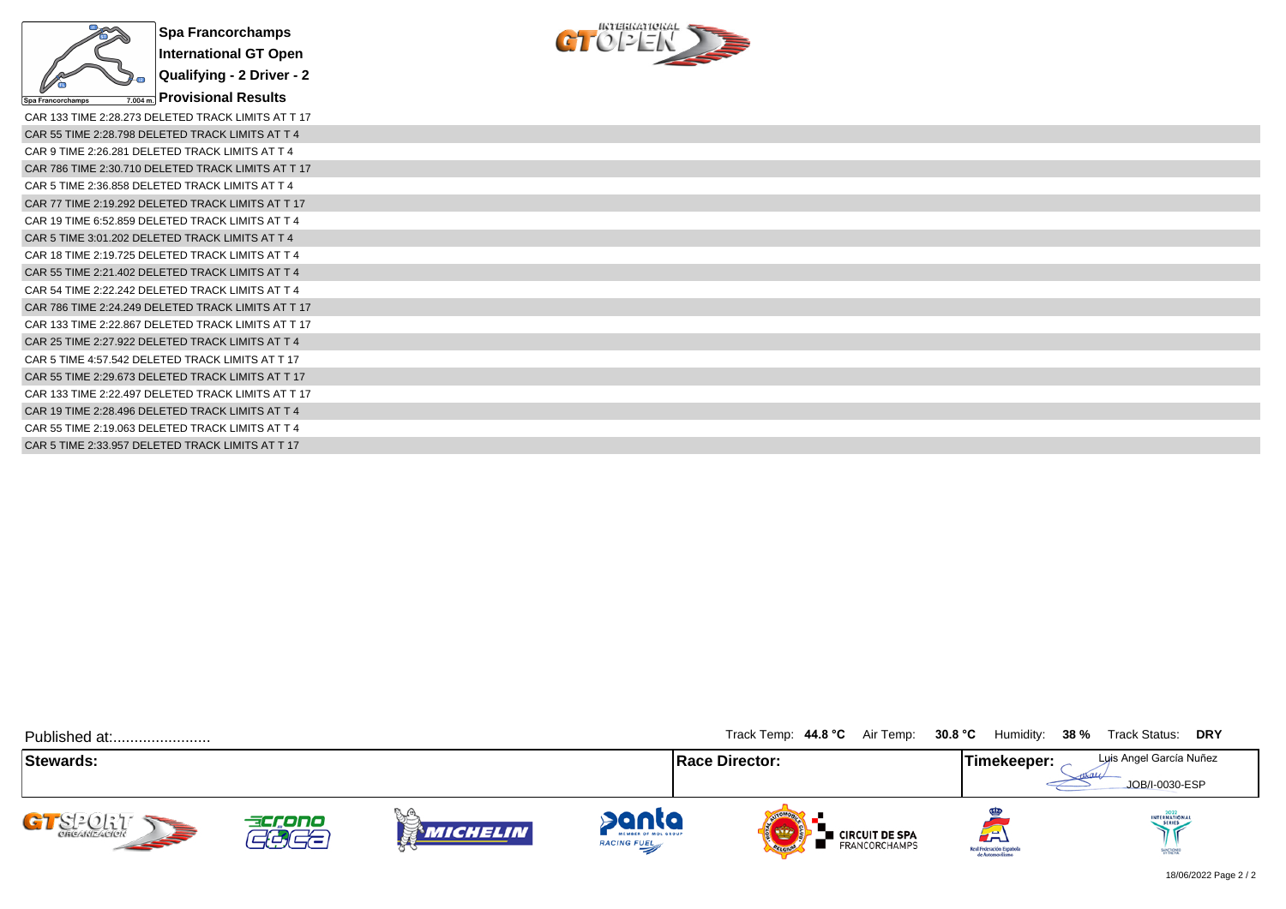



| CAR 133 TIME 2:28.273 DELETED TRACK LIMITS AT T 17 |
|----------------------------------------------------|
| CAR 55 TIME 2:28.798 DELETED TRACK LIMITS AT T 4   |
| CAR 9 TIME 2:26.281 DELETED TRACK LIMITS AT T 4    |
| CAR 786 TIME 2:30.710 DELETED TRACK LIMITS AT T 17 |
| CAR 5 TIME 2:36.858 DELETED TRACK LIMITS AT T 4    |
| CAR 77 TIME 2:19.292 DELETED TRACK LIMITS AT T 17  |
| CAR 19 TIME 6:52.859 DELETED TRACK LIMITS AT T 4   |
| CAR 5 TIME 3:01.202 DELETED TRACK LIMITS AT T 4    |
| CAR 18 TIME 2:19.725 DELETED TRACK LIMITS AT T 4   |
| CAR 55 TIME 2:21.402 DELETED TRACK LIMITS AT T 4   |
| CAR 54 TIME 2:22.242 DELETED TRACK LIMITS AT T 4   |
| CAR 786 TIME 2:24.249 DELETED TRACK LIMITS AT T 17 |
| CAR 133 TIME 2:22.867 DELETED TRACK LIMITS AT T 17 |
| CAR 25 TIME 2:27.922 DELETED TRACK LIMITS AT T 4   |
| CAR 5 TIME 4:57.542 DELETED TRACK LIMITS AT T 17   |
| CAR 55 TIME 2:29.673 DELETED TRACK LIMITS AT T 17  |
| CAR 133 TIME 2:22.497 DELETED TRACK LIMITS AT T 17 |
| CAR 19 TIME 2:28.496 DELETED TRACK LIMITS AT T 4   |
| CAR 55 TIME 2:19.063 DELETED TRACK LIMITS AT T 4   |
| CAR 5 TIME 2:33.957 DELETED TRACK LIMITS AT T 17   |
|                                                    |

| Published at:            |                                |                  |                                                    | Track Temp: 44.8 °C Air Temp: 30.8 °C    | Humidity: 38 %                                       | Track Status: DRY                         |
|--------------------------|--------------------------------|------------------|----------------------------------------------------|------------------------------------------|------------------------------------------------------|-------------------------------------------|
| Stewards:                |                                |                  |                                                    | <b>Race Director:</b>                    | Timekeeper:                                          | Luis Angel García Nuñez<br>JOB/I-0030-ESP |
| GT SPORT<br><b>SEPTE</b> | accono<br>$\frac{1}{\sqrt{2}}$ | VLA.<br>Michelin | panta<br>MEMBER OF MOL GROUP<br><b>RACING FUEL</b> | <b>E</b> CIRCUIT DE SPA<br>FRANCORCHAMPS | لكته<br>Real Federación Española<br>de Automovilismo | INTERNATIONAL<br>SANCRONED                |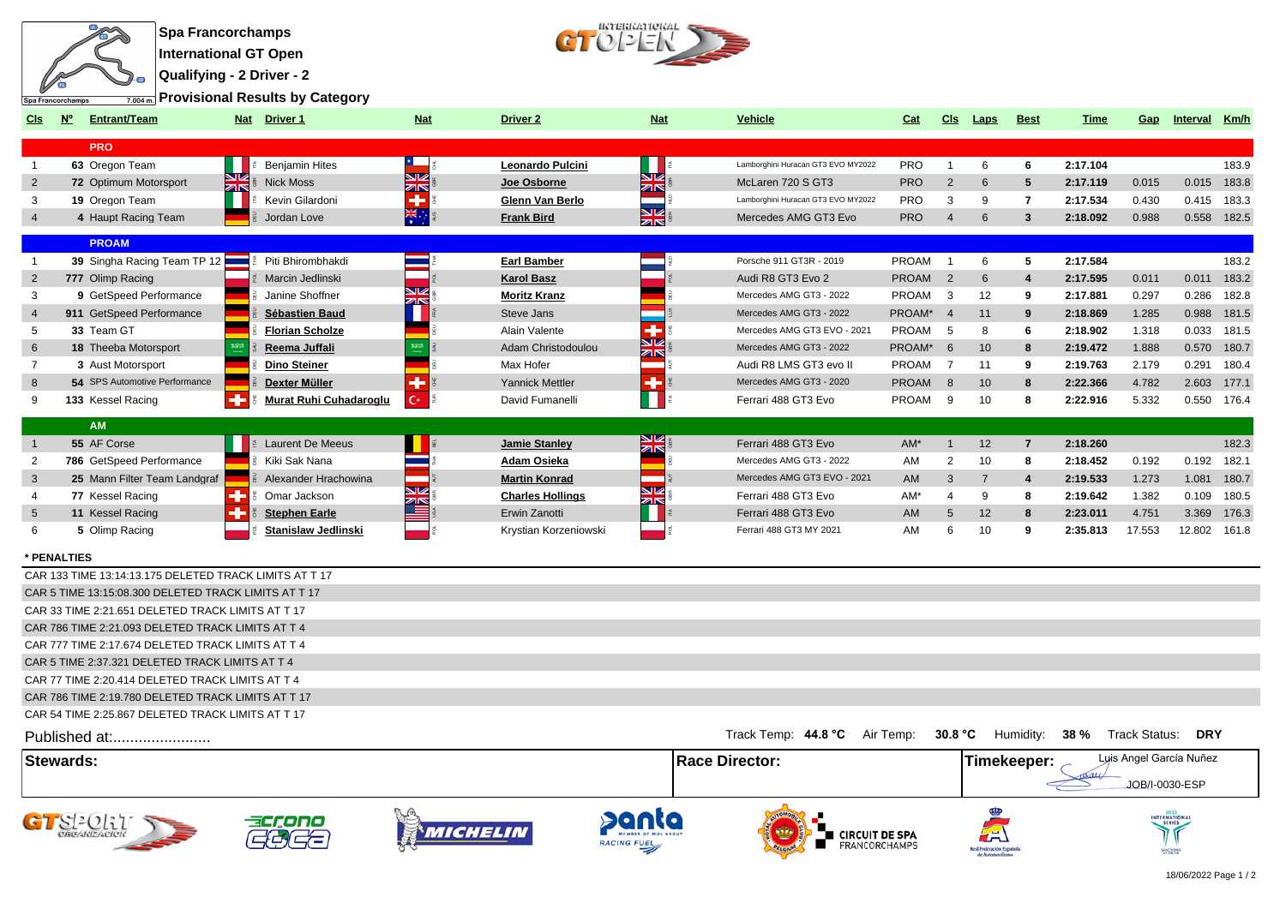

**Qualifying - 2 Driver - 2**

**Provisional Results by Category**



| CIs              | $N^{\circ}$ | <b>Entrant/Team</b>                                    |          | Nat Driver 1                  | <b>Nat</b>           | <b>Driver 2</b>         | <b>Nat</b>                    | <b>Vehicle</b>                     | Cat          | <b>CIs</b>     | Laps                 | <b>Best</b>             | <b>Time</b> | Gap                     | Interval   | Km/h        |
|------------------|-------------|--------------------------------------------------------|----------|-------------------------------|----------------------|-------------------------|-------------------------------|------------------------------------|--------------|----------------|----------------------|-------------------------|-------------|-------------------------|------------|-------------|
|                  |             | <b>PRO</b>                                             |          |                               |                      |                         |                               |                                    |              |                |                      |                         |             |                         |            |             |
| $\overline{1}$   |             | 63 Oregon Team                                         |          | <b>Benjamin Hites</b>         | 2 L.                 | Leonardo Pulcini        |                               | Lamborghini Huracan GT3 EVO MY2022 | <b>PRO</b>   | $\mathbf{1}$   | 6                    | 6                       | 2:17.104    |                         |            | 183.9       |
| 2                |             | 72 Optimum Motorsport                                  | NØ<br>ZN | <b>Nick Moss</b>              | NØ<br>ZIN            | Joe Osborne             | SK<br>ZK                      | McLaren 720 S GT3                  | <b>PRO</b>   | 2              | 6                    | 5                       | 2:17.119    | 0.015                   | 0.015      | 183.8       |
| 3                |             | 19 Oregon Team                                         |          | Kevin Gilardoni               | $\ddot{\phantom{1}}$ | Glenn Van Berlo         |                               | Lamborghini Huracan GT3 EVO MY2022 | <b>PRO</b>   | 3              | 9                    | $\overline{7}$          | 2:17.534    | 0.430                   | 0.415      | 183.3       |
| $\overline{4}$   |             | 4 Haupt Racing Team                                    |          | Jordan Love                   | 崇                    | <b>Frank Bird</b>       | NZ<br>zirs                    | Mercedes AMG GT3 Evo               | <b>PRO</b>   | $\overline{4}$ | 6                    | 3                       | 2:18.092    | 0.988                   | 0.558      | 182.5       |
|                  |             | <b>PROAM</b>                                           |          |                               |                      |                         |                               |                                    |              |                |                      |                         |             |                         |            |             |
| $\overline{1}$   |             | 39 Singha Racing Team TP 12                            |          | Piti Bhirombhakdi             |                      | <b>Earl Bamber</b>      |                               | Porsche 911 GT3R - 2019            | <b>PROAM</b> | $\overline{1}$ | 6                    | 5                       | 2:17.584    |                         |            | 183.2       |
| $\overline{2}$   |             | 777 Olimp Racing                                       |          | Marcin Jedlinski              |                      | <b>Karol Basz</b>       |                               | Audi R8 GT3 Evo 2                  | <b>PROAM</b> | $\overline{2}$ | 6                    | $\overline{4}$          | 2:17.595    | 0.011                   | 0.011      | 183.2       |
| 3                |             | 9 GetSpeed Performance                                 |          | Janine Shoffner               | NK<br>215            | <b>Moritz Kranz</b>     |                               | Mercedes AMG GT3 - 2022            | PROAM        | 3              | 12                   | 9                       | 2:17.881    | 0.297                   | 0.286      | 182.8       |
| $\overline{4}$   |             | 911 GetSpeed Performance                               |          | Sébastien Baud                |                      | Steve Jans              |                               | Mercedes AMG GT3 - 2022            | PROAM*       | $\overline{4}$ | 11                   | 9                       | 2:18.869    | 1.285                   | 0.988      | 181.5       |
| 5                |             | 33 Team GT                                             |          | <b>Florian Scholze</b>        |                      | Alain Valente           | ۰                             | Mercedes AMG GT3 EVO - 2021        | <b>PROAM</b> | -5             | 8                    | 6                       | 2:18.902    | 1.318                   | 0.033      | 181.5       |
| 6                |             | <b>18 Theeba Motorsport</b>                            |          | Reema Juffali                 | 5373                 | Adam Christodoulou      | $\overline{\mathbb{Z}}$<br>ZK | Mercedes AMG GT3 - 2022            | PROAM*       | 6              | 10                   | 8                       | 2:19.472    | 1.888                   | 0.570      | 180.7       |
| $\overline{7}$   |             | 3 Aust Motorsport                                      |          | <b>Dino Steiner</b>           |                      | Max Hofer               |                               | Audi R8 LMS GT3 evo II             | <b>PROAM</b> | 7              | 11                   | 9                       | 2:19.763    | 2.179                   | 0.291      | 180.4       |
| 8                |             | 54 SPS Automotive Performance                          |          | Dexter Müller                 |                      | <b>Yannick Mettler</b>  |                               | Mercedes AMG GT3 - 2020            | <b>PROAM</b> | 8              | 10                   | 8                       | 2:22.366    | 4.782                   | 2.603      | 177.1       |
| 9                |             | 133 Kessel Racing                                      |          | <b>Murat Ruhi Cuhadaroglu</b> | $\mathbf{C}^*$       | David Fumanelli         | н                             | Ferrari 488 GT3 Evo                | PROAM        | 9              | 10                   | 8                       | 2:22.916    | 5.332                   |            | 0.550 176.4 |
|                  |             | <b>AM</b>                                              |          |                               |                      |                         |                               |                                    |              |                |                      |                         |             |                         |            |             |
| $\overline{1}$   |             | 55 AF Corse                                            |          | <b>Laurent De Meeus</b>       |                      | <b>Jamie Stanley</b>    | שפ<br>ZK                      | Ferrari 488 GT3 Evo                | AM*          | $\mathbf{1}$   | 12                   | $\overline{7}$          | 2:18.260    |                         |            | 182.3       |
| $\overline{2}$   |             | 786 GetSpeed Performance                               |          | Kiki Sak Nana                 |                      | Adam Osieka             |                               | Mercedes AMG GT3 - 2022            | AM           | 2              | 10                   | 8                       | 2:18.452    | 0.192                   | 0.192      | 182.1       |
| 3                |             | 25 Mann Filter Team Landgraf                           |          | Alexander Hrachowina          |                      | <b>Martin Konrad</b>    |                               | Mercedes AMG GT3 EVO - 2021        | AM           | 3              | $\overline{7}$       | $\overline{\mathbf{A}}$ | 2:19.533    | 1.273                   | 1.081      | 180.7       |
| $\overline{4}$   |             | 77 Kessel Racing                                       |          | Omar Jackson                  | আ∠                   | <b>Charles Hollings</b> | <b>NZ</b><br><b>ZIN</b>       | Ferrari 488 GT3 Evo                | AM*          | $\overline{4}$ | 9                    | 8                       | 2:19.642    | 1.382                   | 0.109      | 180.5       |
| 5                |             | 11 Kessel Racing                                       | ۰        | <b>Stephen Earle</b>          | ≧                    | Erwin Zanotti           |                               | Ferrari 488 GT3 Evo                | AM           | 5              | 12                   | 8                       | 2:23.011    | 4.751                   | 3.369      | 176.3       |
| 6                |             | 5 Olimp Racing                                         |          | <b>Stanislaw Jedlinski</b>    |                      | Krystian Korzeniowski   |                               | Ferrari 488 GT3 MY 2021            | AM           | 6              | 10                   | 9                       | 2:35.813    | 17.553                  | 12.802     | 161.8       |
| * PENALTIES      |             |                                                        |          |                               |                      |                         |                               |                                    |              |                |                      |                         |             |                         |            |             |
|                  |             | CAR 133 TIME 13:14:13.175 DELETED TRACK LIMITS AT T 17 |          |                               |                      |                         |                               |                                    |              |                |                      |                         |             |                         |            |             |
|                  |             | CAR 5 TIME 13:15:08.300 DELETED TRACK LIMITS AT T 17   |          |                               |                      |                         |                               |                                    |              |                |                      |                         |             |                         |            |             |
|                  |             | CAR 33 TIME 2:21.651 DELETED TRACK LIMITS AT T 17      |          |                               |                      |                         |                               |                                    |              |                |                      |                         |             |                         |            |             |
|                  |             | CAR 786 TIME 2:21.093 DELETED TRACK LIMITS AT T 4      |          |                               |                      |                         |                               |                                    |              |                |                      |                         |             |                         |            |             |
|                  |             | CAR 777 TIME 2:17.674 DELETED TRACK LIMITS AT T 4      |          |                               |                      |                         |                               |                                    |              |                |                      |                         |             |                         |            |             |
|                  |             | CAR 5 TIME 2:37.321 DELETED TRACK LIMITS AT T 4        |          |                               |                      |                         |                               |                                    |              |                |                      |                         |             |                         |            |             |
|                  |             | CAR 77 TIME 2:20.414 DELETED TRACK LIMITS AT T 4       |          |                               |                      |                         |                               |                                    |              |                |                      |                         |             |                         |            |             |
|                  |             | CAR 786 TIME 2:19.780 DELETED TRACK LIMITS AT T 17     |          |                               |                      |                         |                               |                                    |              |                |                      |                         |             |                         |            |             |
|                  |             | CAR 54 TIME 2:25.867 DELETED TRACK LIMITS AT T 17      |          |                               |                      |                         |                               |                                    |              |                |                      |                         |             |                         |            |             |
|                  |             | Published at:                                          |          |                               |                      |                         |                               | Track Temp: 44.8 °C                | Air Temp:    | 30.8 °C        |                      | Humidity:               | 38 %        | <b>Track Status:</b>    | <b>DRY</b> |             |
| <b>Stewards:</b> |             |                                                        |          |                               |                      |                         |                               | <b>Race Director:</b>              |              |                |                      | Timekeeper:             |             | Luis Angel García Nuñez |            |             |
|                  |             |                                                        |          |                               |                      |                         |                               |                                    |              |                |                      |                         |             | JOB/I-0030-ESP          |            |             |
|                  |             |                                                        |          |                               |                      |                         |                               |                                    |              |                |                      |                         |             |                         |            |             |
|                  |             |                                                        |          |                               | MICHEL               |                         |                               | <b>CIRCUIT DE SPA</b>              |              |                |                      |                         |             |                         |            |             |
|                  |             |                                                        |          |                               |                      |                         |                               | FRANCORCHAMPS                      |              |                | Real Federación Esoa |                         |             |                         |            |             |

Real Federación Españo<br>de Automovilismo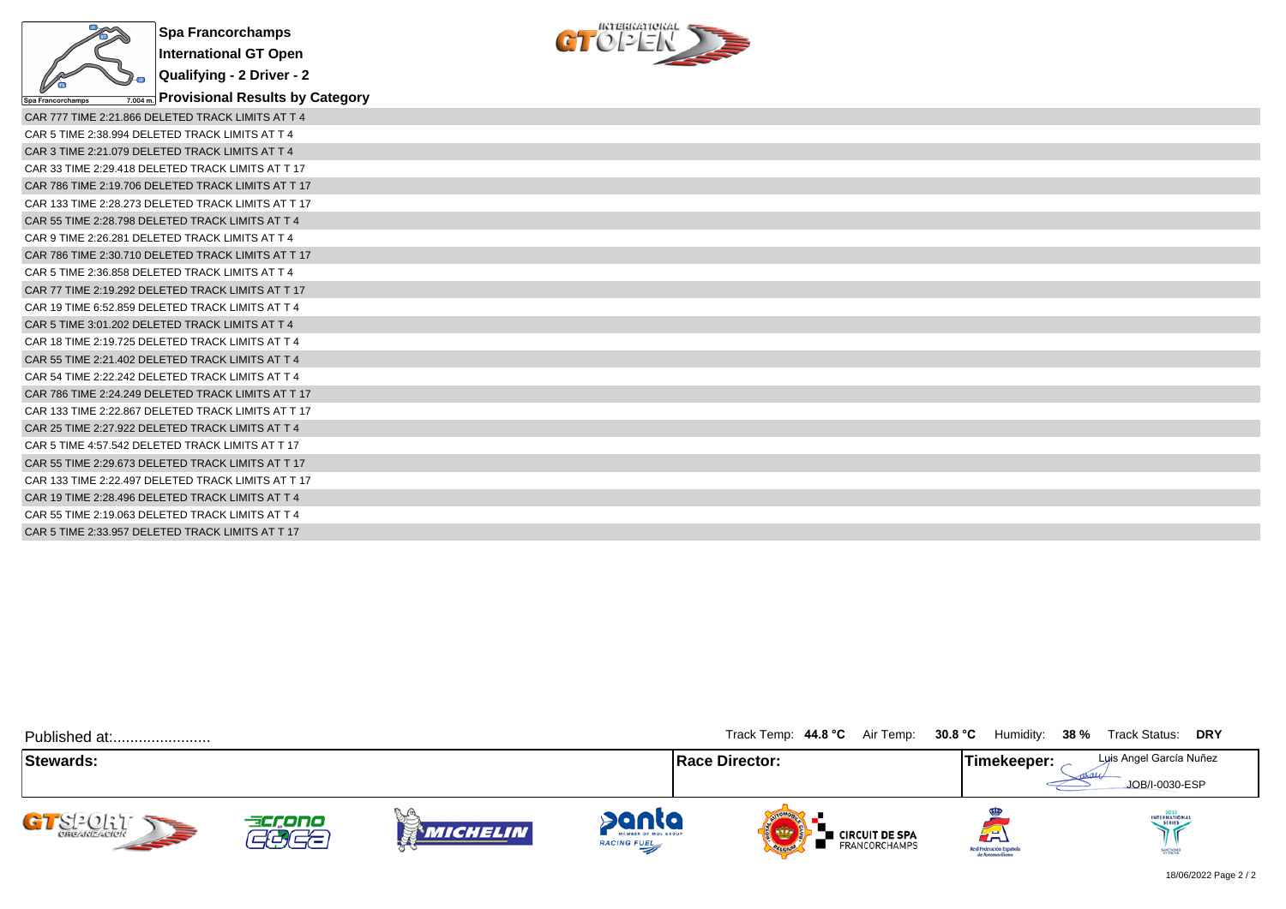



| CAR 777 TIME 2:21.866 DELETED TRACK LIMITS AT T 4  |
|----------------------------------------------------|
| CAR 5 TIME 2:38.994 DELETED TRACK LIMITS AT T 4    |
| CAR 3 TIME 2:21.079 DELETED TRACK LIMITS AT T 4    |
| CAR 33 TIME 2:29.418 DELETED TRACK LIMITS AT T 17  |
| CAR 786 TIME 2:19.706 DELETED TRACK LIMITS AT T 17 |
| CAR 133 TIME 2:28.273 DELETED TRACK LIMITS AT T 17 |
| CAR 55 TIME 2:28.798 DELETED TRACK LIMITS AT T 4   |
| CAR 9 TIME 2:26.281 DELETED TRACK LIMITS AT T 4    |
| CAR 786 TIME 2:30.710 DELETED TRACK LIMITS AT T 17 |
| CAR 5 TIME 2:36.858 DELETED TRACK LIMITS AT T 4    |
| CAR 77 TIME 2:19.292 DELETED TRACK LIMITS AT T 17  |
| CAR 19 TIME 6:52.859 DELETED TRACK LIMITS AT T 4   |
| CAR 5 TIME 3:01.202 DELETED TRACK LIMITS AT T 4    |
| CAR 18 TIME 2:19.725 DELETED TRACK LIMITS AT T 4   |
| CAR 55 TIME 2:21.402 DELETED TRACK LIMITS AT T 4   |
| CAR 54 TIME 2:22.242 DELETED TRACK LIMITS AT T 4   |
| CAR 786 TIME 2:24.249 DELETED TRACK LIMITS AT T 17 |
| CAR 133 TIME 2:22.867 DELETED TRACK LIMITS AT T 17 |
| CAR 25 TIME 2:27.922 DELETED TRACK LIMITS AT T 4   |
| CAR 5 TIME 4:57.542 DELETED TRACK LIMITS AT T 17   |
| CAR 55 TIME 2:29.673 DELETED TRACK LIMITS AT T 17  |
| CAR 133 TIME 2:22.497 DELETED TRACK LIMITS AT T 17 |
| CAR 19 TIME 2:28.496 DELETED TRACK LIMITS AT T 4   |
| CAR 55 TIME 2:19.063 DELETED TRACK LIMITS AT T 4   |
| CAR 5 TIME 2:33.957 DELETED TRACK LIMITS AT T 17   |

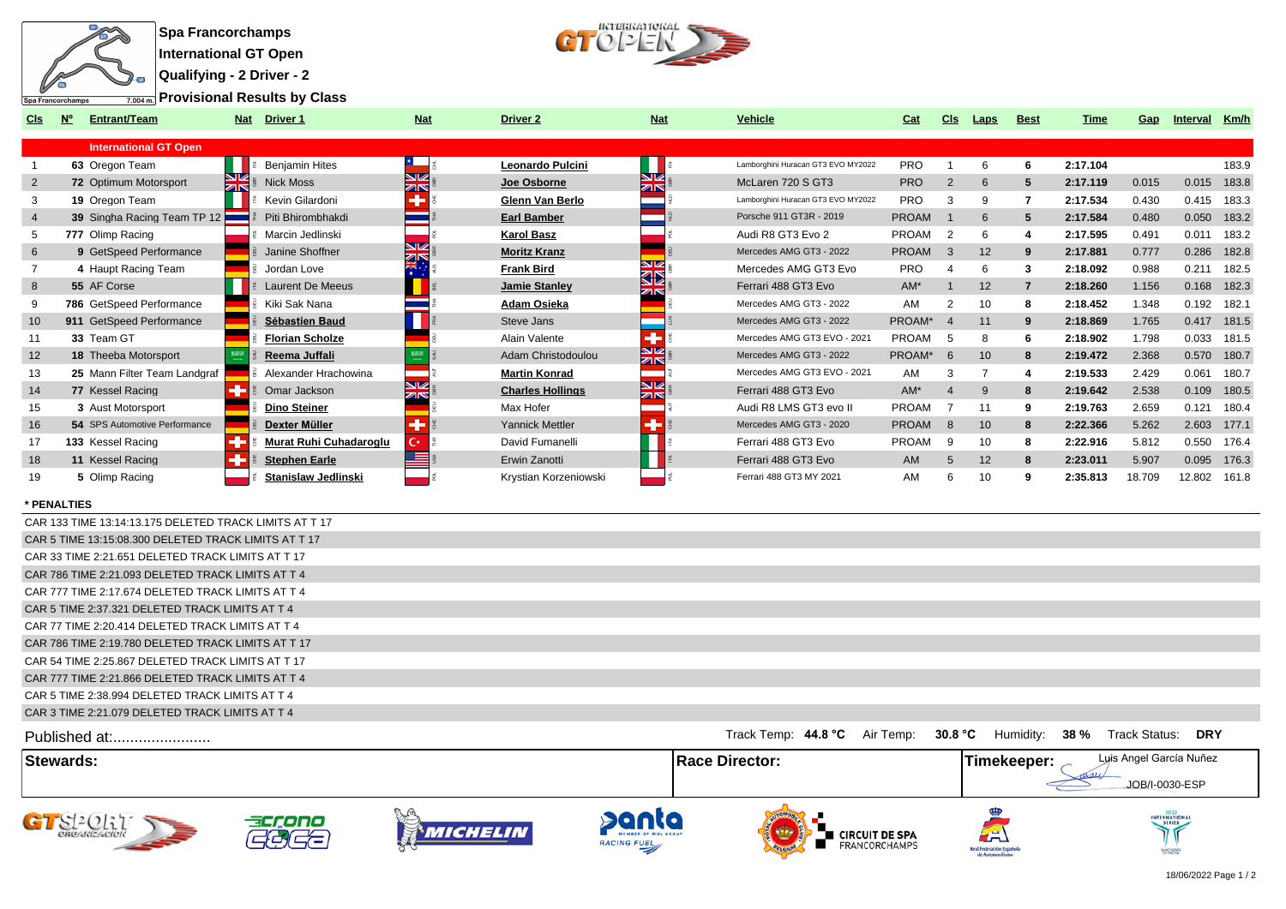

**Qualifying - 2 Driver - 2**

**Provisional Results by Class**



| <b>CIS</b>     | <b>Entrant/Team</b>           | <b>Nat</b>    | Driver 1                      | <b>Nat</b>                    | <b>Driver 2</b>         | <b>Nat</b>                     | <b>Vehicle</b>                     | Cat          | <b>CIS</b>    | Laps | <b>Best</b>    | Time     | Gap    | Interval     | Km/h        |
|----------------|-------------------------------|---------------|-------------------------------|-------------------------------|-------------------------|--------------------------------|------------------------------------|--------------|---------------|------|----------------|----------|--------|--------------|-------------|
|                | <b>International GT Open</b>  |               |                               |                               |                         |                                |                                    |              |               |      |                |          |        |              |             |
|                | 63 Oregon Team                |               | <b>Benjamin Hites</b>         |                               | Leonardo Pulcini        |                                | Lamborghini Huracan GT3 EVO MY2022 | <b>PRO</b>   |               | 6    | 6              | 2:17.104 |        |              | 183.9       |
| $\overline{2}$ | 72 Optimum Motorsport         | $\frac{N}{2}$ | <b>Nick Moss</b>              | NZ<br>$\overline{\mathbb{Z}}$ | Joe Osborne             | NZ.<br>$\overline{\mathbb{Z}}$ | McLaren 720 S GT3                  | <b>PRO</b>   | 2             | 6    | 5              | 2:17.119 | 0.015  | 0.015        | 183.8       |
| 3              | 19 Oregon Team                |               | Kevin Gilardoni               |                               | Glenn Van Berlo         |                                | Lamborghini Huracan GT3 EVO MY2022 | <b>PRO</b>   |               | 9    |                | 2:17.534 | 0.430  | 0.415        | 183.3       |
| $\overline{4}$ | 39 Singha Racing Team TP 12   |               | Piti Bhirombhakdi             |                               | <b>Earl Bamber</b>      |                                | Porsche 911 GT3R - 2019            | <b>PROAM</b> |               | 6    | 5              | 2:17.584 | 0.480  | 0.050        | 183.2       |
| 5              | 777 Olimp Racing              |               | Marcin Jedlinski              |                               | <b>Karol Basz</b>       |                                | Audi R8 GT3 Evo 2                  | PROAM        | 2             | 6    | 4              | 2:17.595 | 0.491  | 0.011        | 183.2       |
| 6              | 9 GetSpeed Performance        |               | Janine Shoffner               | NZ<br>ZK                      | <b>Moritz Kranz</b>     |                                | Mercedes AMG GT3 - 2022            | <b>PROAM</b> | $\mathcal{B}$ | 12   |                | 2:17.881 | 0.777  | 0.286        | 182.8       |
|                | 4 Haupt Racing Team           |               | Jordan Love                   |                               | <b>Frank Bird</b>       | NØ<br><b>KID</b>               | Mercedes AMG GT3 Evo               | <b>PRO</b>   |               | 6    | з              | 2:18.092 | 0.988  | 0.211        | 182.5       |
| 8              | 55 AF Corse                   |               | <b>Laurent De Meeus</b>       |                               | Jamie Stanley           |                                | Ferrari 488 GT3 Evo                | AM*          |               | 12   | $\overline{7}$ | 2:18.260 | 1.156  | 0.168        | 182.3       |
| 9              | 786 GetSpeed Performance      |               | Kiki Sak Nana                 |                               | Adam Osieka             |                                | Mercedes AMG GT3 - 2022            | AM           |               | 10   | 8              | 2:18.452 | 1.348  | 0.192 182.1  |             |
| 10             | 911 GetSpeed Performance      |               | Sébastien Baud                |                               | Steve Jans              |                                | Mercedes AMG GT3 - 2022            | PROAM*       |               | 11   |                | 2:18.869 | 1.765  | 0.417        | 181.5       |
| 11             | 33 Team GT                    |               | <b>Florian Scholze</b>        |                               | Alain Valente           | ٠                              | Mercedes AMG GT3 EVO - 2021        | PROAM        |               | 8    |                | 2:18.902 | 1.798  |              | 0.033 181.5 |
| 12             | 18 Theeba Motorsport          |               | Reema Juffali                 |                               | Adam Christodoulou      | <b>SIZ</b><br>ZK               | Mercedes AMG GT3 - 2022            | PROAM*       | 6             | 10   | 8              | 2:19.472 | 2.368  | 0.570 180.7  |             |
| 13             | 25 Mann Filter Team Landgraf  |               | Alexander Hrachowina          |                               | <b>Martin Konrad</b>    |                                | Mercedes AMG GT3 EVO - 2021        | AM           |               |      |                | 2:19.533 | 2.429  | 0.061        | 180.7       |
| 14             | 77 Kessel Racing              |               | Omar Jackson                  | NZ<br><b>ZIN</b>              | <b>Charles Hollings</b> | NZ<br><b>ZIN</b>               | Ferrari 488 GT3 Evo                | $AM*$        |               | 9    | 8              | 2:19.642 | 2.538  | 0.109        | 180.5       |
| 15             | 3 Aust Motorsport             |               | <b>Dino Steiner</b>           |                               | Max Hofer               |                                | Audi R8 LMS GT3 evo II             | PROAM        |               | 11   |                | 2:19.763 | 2.659  | 0.121        | 180.4       |
| 16             | 54 SPS Automotive Performance |               | Dexter Müller                 | ٠                             | Yannick Mettler         |                                | Mercedes AMG GT3 - 2020            | <b>PROAM</b> | 8             | 10   | 8              | 2:22.366 | 5.262  | 2.603 177.1  |             |
| 17             | 133 Kessel Racing             |               | <b>Murat Ruhi Cuhadaroglu</b> | С×                            | David Fumanelli         |                                | Ferrari 488 GT3 Evo                | PROAM        | q             | 10   | я              | 2:22.916 | 5.812  | 0.550        | 176.4       |
| 18             | 11 Kessel Racing              |               | <b>Stephen Earle</b>          |                               | Erwin Zanotti           |                                | Ferrari 488 GT3 Evo                | <b>AM</b>    | 5             | 12   | 8              | 2:23.011 | 5.907  | 0.095        | 176.3       |
| 19             | 5 Olimp Racing                |               | <b>Stanislaw Jedlinski</b>    |                               | Krystian Korzeniowski   |                                | Ferrari 488 GT3 MY 2021            | AM           |               | 10   | 9              | 2:35.813 | 18.709 | 12.802 161.8 |             |

## **\* PENALTIES**

| Stowarde -                                             | IRace Director: I             | Luis Angel García Nuñez<br>Timokoonor:            |
|--------------------------------------------------------|-------------------------------|---------------------------------------------------|
| Published at:                                          | Track Temp: 44.8 °C Air Temp: | 30.8 °C<br>Humidity: 38 %<br>Track Status:<br>DRY |
| CAR 3 TIME 2:21.079 DELETED TRACK LIMITS AT T 4        |                               |                                                   |
| CAR 5 TIME 2:38.994 DELETED TRACK LIMITS AT T 4        |                               |                                                   |
| CAR 777 TIME 2:21.866 DELETED TRACK LIMITS AT T 4      |                               |                                                   |
| CAR 54 TIME 2:25.867 DELETED TRACK LIMITS AT T 17      |                               |                                                   |
| CAR 786 TIME 2:19.780 DELETED TRACK LIMITS AT T 17     |                               |                                                   |
| CAR 77 TIME 2:20.414 DELETED TRACK LIMITS AT T 4       |                               |                                                   |
| CAR 5 TIME 2:37.321 DELETED TRACK LIMITS AT T 4        |                               |                                                   |
| CAR 777 TIME 2:17.674 DELETED TRACK LIMITS AT T 4      |                               |                                                   |
| CAR 786 TIME 2:21.093 DELETED TRACK LIMITS AT T 4      |                               |                                                   |
| CAR 33 TIME 2:21.651 DELETED TRACK LIMITS AT T 17      |                               |                                                   |
| CAR 5 TIME 13:15:08.300 DELETED TRACK LIMITS AT T 17   |                               |                                                   |
| CAR 133 TIME 13:14:13.175 DELETED TRACK LIMITS AT T 17 |                               |                                                   |



MOTONED

Real Federación Espa<br>de Automovilism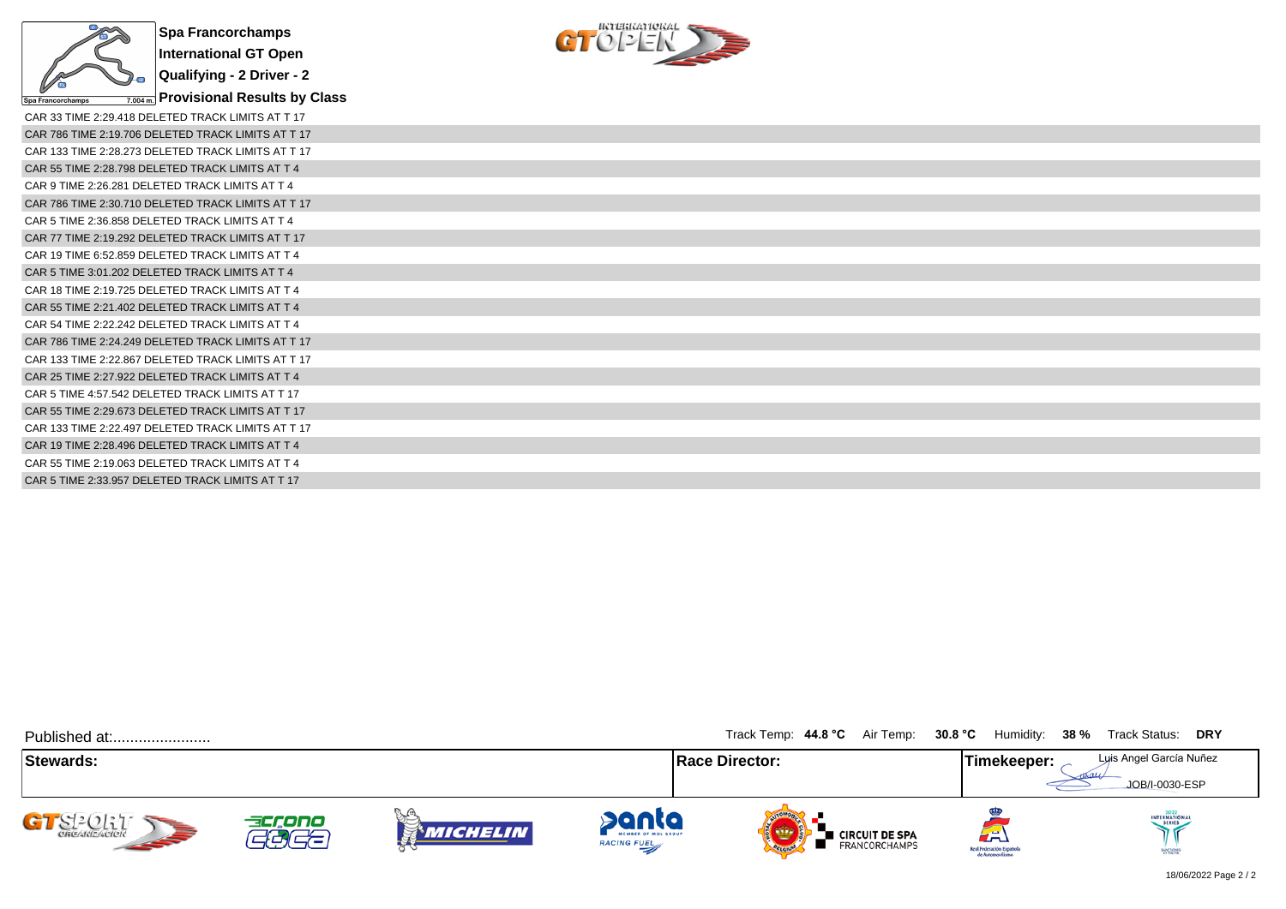

**Provisional Results by Class**

 $C1^{\text{interference}}$ 

| CAR 33 TIME 2:29.418 DELETED TRACK LIMITS AT T 17  |
|----------------------------------------------------|
| CAR 786 TIME 2:19.706 DELETED TRACK LIMITS AT T 17 |
| CAR 133 TIME 2:28.273 DELETED TRACK LIMITS AT T 17 |
| CAR 55 TIME 2:28.798 DELETED TRACK LIMITS AT T 4   |
| CAR 9 TIME 2:26.281 DELETED TRACK LIMITS AT T 4    |
| CAR 786 TIME 2:30.710 DELETED TRACK LIMITS AT T 17 |
| CAR 5 TIME 2:36.858 DELETED TRACK LIMITS AT T 4    |
| CAR 77 TIME 2:19.292 DELETED TRACK LIMITS AT T 17  |
| CAR 19 TIME 6:52.859 DELETED TRACK LIMITS AT T 4   |
| CAR 5 TIME 3:01.202 DELETED TRACK LIMITS AT T 4    |
| CAR 18 TIME 2:19.725 DELETED TRACK LIMITS AT T 4   |
| CAR 55 TIME 2:21.402 DELETED TRACK LIMITS AT T 4   |
| CAR 54 TIME 2:22.242 DELETED TRACK LIMITS AT T 4   |
| CAR 786 TIME 2:24.249 DELETED TRACK LIMITS AT T 17 |
| CAR 133 TIME 2:22.867 DELETED TRACK LIMITS AT T 17 |
| CAR 25 TIME 2:27.922 DELETED TRACK LIMITS AT T 4   |
| CAR 5 TIME 4:57.542 DELETED TRACK LIMITS AT T 17   |
| CAR 55 TIME 2:29.673 DELETED TRACK LIMITS AT T 17  |
| CAR 133 TIME 2:22.497 DELETED TRACK LIMITS AT T 17 |
| CAR 19 TIME 2:28.496 DELETED TRACK LIMITS AT T 4   |
| CAR 55 TIME 2:19.063 DELETED TRACK LIMITS AT T 4   |
| CAR 5 TIME 2:33.957 DELETED TRACK LIMITS AT T 17   |

| Published at:              |                                    |                        |                                             | Track Temp: 44.8 °C Air Temp: 30.8 °C |                                                  | Humidity: 38 %                                      | Track Status: DRY                         |
|----------------------------|------------------------------------|------------------------|---------------------------------------------|---------------------------------------|--------------------------------------------------|-----------------------------------------------------|-------------------------------------------|
| <b>Stewards:</b>           |                                    |                        |                                             | <b>Race Director:</b>                 |                                                  | Timekeeper:                                         | Luis Angel García Nuñez<br>JOB/I-0030-ESP |
| GT SPORT<br><b>SEPTENT</b> | accono<br>$\overline{\phantom{a}}$ | y o<br><b>MICHELIN</b> | panta<br>MEMBER OF MOL GROUP<br>RACING FUEL | OFLORID                               | <b>Exercuit DE SPA</b><br><b>I</b> FRANCORCHAMPS | لظم<br>Real Federación Española<br>de Automovilismo | INTERNATIONAL<br>SANCTIONED               |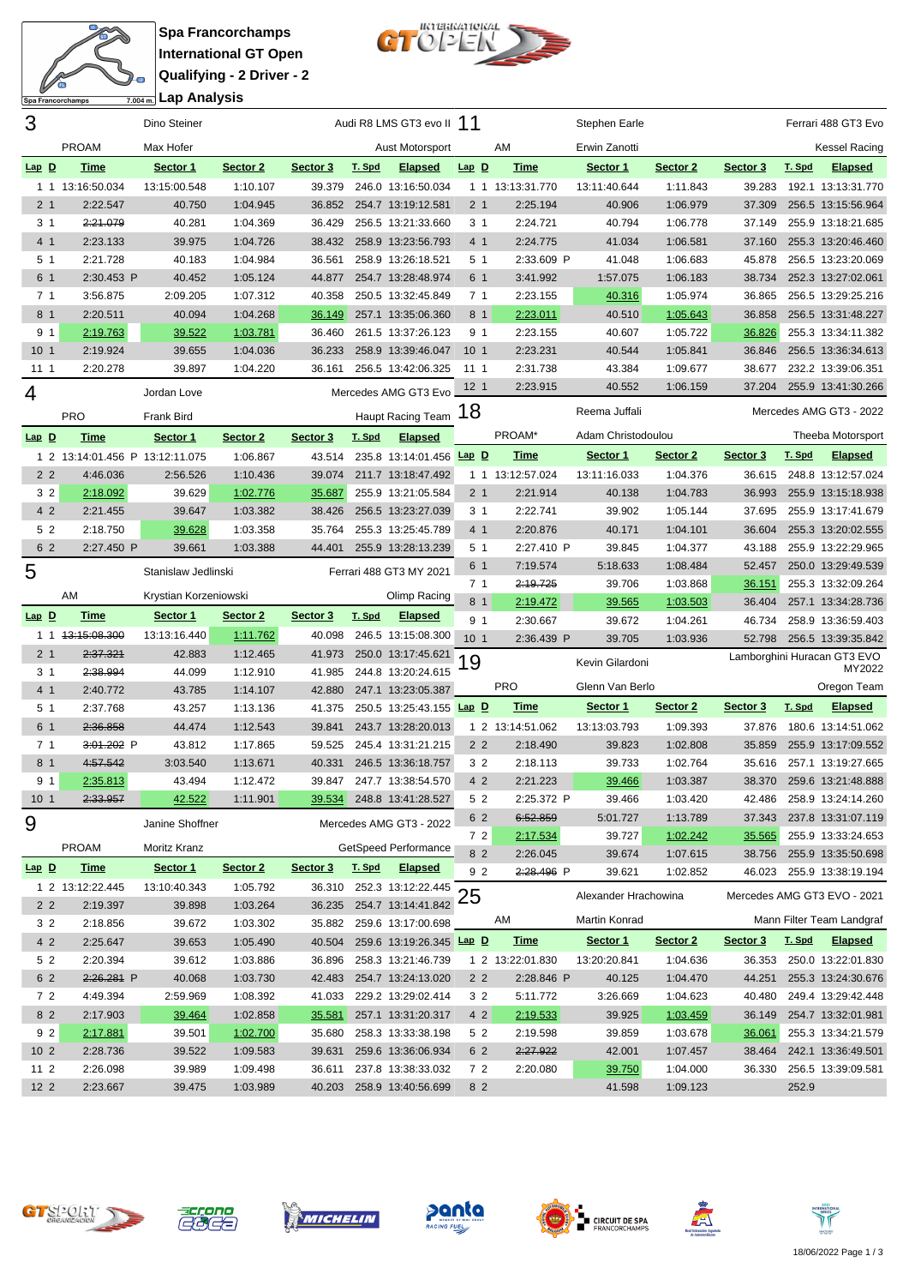

**Spa Francorchamps International GT Open Qualifying - 2 Driver - 2 Lap Analysis**



| 3               |                                 | Dino Steiner           |                      |          |        | Audi R8 LMS GT3 evo II 11                       |                 |                  | Stephen Earle        |          |                 |        | Ferrari 488 GT3 Evo         |
|-----------------|---------------------------------|------------------------|----------------------|----------|--------|-------------------------------------------------|-----------------|------------------|----------------------|----------|-----------------|--------|-----------------------------|
|                 | <b>PROAM</b>                    | Max Hofer              |                      |          |        | Aust Motorsport                                 |                 | AM               | Erwin Zanotti        |          |                 |        | <b>Kessel Racing</b>        |
| $Lap$ $D$       | <b>Time</b>                     | Sector 1               | Sector 2             | Sector 3 | T. Spd | <b>Elapsed</b>                                  | $Lap$ $D$       | <b>Time</b>      | Sector 1             | Sector 2 | Sector 3        | T. Spd | <b>Elapsed</b>              |
|                 | 1 1 13:16:50.034                | 13:15:00.548           | 1:10.107             | 39.379   |        | 246.0 13:16:50.034                              |                 | 1 1 13:13:31.770 | 13:11:40.644         | 1:11.843 | 39.283          |        | 192.1 13:13:31.770          |
| 2 <sub>1</sub>  | 2:22.547                        | 40.750                 | 1:04.945             |          |        | 36.852 254.7 13:19:12.581                       | 2 <sub>1</sub>  | 2:25.194         | 40.906               | 1:06.979 | 37.309          |        | 256.5 13:15:56.964          |
| 3 <sub>1</sub>  | 2:21.079                        | 40.281                 | 1:04.369             | 36.429   |        | 256.5 13:21:33.660                              | 3 <sub>1</sub>  | 2:24.721         | 40.794               | 1:06.778 | 37.149          |        | 255.9 13:18:21.685          |
| 4 1             | 2:23.133                        | 39.975                 | 1:04.726             | 38.432   |        | 258.9 13:23:56.793                              | 4 1             | 2:24.775         | 41.034               | 1:06.581 | 37.160          |        | 255.3 13:20:46.460          |
| 5 1             | 2:21.728                        | 40.183                 | 1:04.984             | 36.561   |        | 258.9 13:26:18.521                              | 5 1             | 2:33.609 P       | 41.048               | 1:06.683 | 45.878          |        | 256.5 13:23:20.069          |
| 6 1             | 2:30.453 P                      | 40.452                 | 1:05.124             | 44.877   |        | 254.7 13:28:48.974                              | 6 1             | 3:41.992         | 1:57.075             | 1:06.183 | 38.734          |        | 252.3 13:27:02.061          |
| 7 <sub>1</sub>  | 3:56.875                        | 2:09.205               | 1:07.312             | 40.358   |        | 250.5 13:32:45.849                              | 7 <sub>1</sub>  | 2:23.155         | 40.316               | 1:05.974 | 36.865          |        | 256.5 13:29:25.216          |
| 8 1             | 2:20.511                        | 40.094                 | 1:04.268             | 36.149   |        | 257.1 13:35:06.360                              | 8 1             | 2:23.011         | 40.510               | 1:05.643 | 36.858          |        | 256.5 13:31:48.227          |
| 9 1             | 2:19.763                        | 39.522                 | 1:03.781             | 36.460   |        | 261.5 13:37:26.123                              | 9 1             | 2:23.155         | 40.607               | 1:05.722 | 36.826          |        | 255.3 13:34:11.382          |
| 10 <sub>1</sub> | 2:19.924                        | 39.655                 | 1:04.036             | 36.233   |        | 258.9 13:39:46.047                              | 10 <sub>1</sub> | 2:23.231         | 40.544               | 1:05.841 | 36.846          |        | 256.5 13:36:34.613          |
| 11 1            | 2:20.278                        | 39.897                 | 1:04.220             | 36.161   |        | 256.5 13:42:06.325                              | 11 1            | 2:31.738         | 43.384               | 1:09.677 | 38.677          |        | 232.2 13:39:06.351          |
| 4               |                                 | Jordan Love            |                      |          |        | Mercedes AMG GT3 Evo                            | 12 <sub>1</sub> | 2:23.915         | 40.552               | 1:06.159 | 37.204          |        | 255.9 13:41:30.266          |
|                 | <b>PRO</b>                      | <b>Frank Bird</b>      |                      |          |        | Haupt Racing Team                               | 18              |                  | Reema Juffali        |          |                 |        | Mercedes AMG GT3 - 2022     |
| $Lap$ $D$       | <b>Time</b>                     | Sector 1               | Sector 2             | Sector 3 | T. Spd | <b>Elapsed</b>                                  |                 | PROAM*           | Adam Christodoulou   |          |                 |        | Theeba Motorsport           |
|                 | 1 2 13:14:01.456 P 13:12:11.075 |                        | 1:06.867             | 43.514   |        | 235.8 13:14:01.456 Lap D                        |                 | <b>Time</b>      | Sector 1             | Sector 2 | Sector 3        | T. Spd | <b>Elapsed</b>              |
| 2 <sub>2</sub>  | 4:46.036                        | 2:56.526               | 1:10.436             | 39.074   |        | 211.7 13:18:47.492                              |                 | 1 1 13:12:57.024 | 13:11:16.033         | 1:04.376 | 36.615          |        | 248.8 13:12:57.024          |
| 3 <sub>2</sub>  | 2:18.092                        | 39.629                 | 1:02.776             | 35.687   |        | 255.9 13:21:05.584                              | 2 <sub>1</sub>  | 2:21.914         | 40.138               | 1:04.783 | 36.993          |        | 255.9 13:15:18.938          |
| 4 2             | 2:21.455                        | 39.647                 | 1:03.382             | 38.426   |        | 256.5 13:23:27.039                              | 3 <sub>1</sub>  | 2:22.741         | 39.902               | 1:05.144 | 37.695          |        | 255.9 13:17:41.679          |
| 5 2             | 2:18.750                        | 39.628                 | 1:03.358             | 35.764   |        | 255.3 13:25:45.789                              | 4 1             | 2:20.876         | 40.171               | 1:04.101 | 36.604          |        | 255.3 13:20:02.555          |
| 6 2             | 2:27.450 P                      | 39.661                 | 1:03.388             | 44.401   |        | 255.9 13:28:13.239                              | 5 1             | 2:27.410 P       | 39.845               | 1:04.377 | 43.188          |        | 255.9 13:22:29.965          |
|                 |                                 |                        |                      |          |        |                                                 | 6 1             | 7:19.574         | 5:18.633             | 1:08.484 | 52.457          |        | 250.0 13:29:49.539          |
| 5               |                                 | Stanislaw Jedlinski    |                      |          |        | Ferrari 488 GT3 MY 2021                         | 7 <sub>1</sub>  | 2:19.725         | 39.706               | 1:03.868 | 36.151          |        | 255.3 13:32:09.264          |
|                 | AM                              | Krystian Korzeniowski  |                      |          |        | Olimp Racing                                    | 8 1             | 2:19.472         | 39.565               | 1:03.503 | 36.404          |        | 257.1 13:34:28.736          |
|                 |                                 |                        |                      |          |        |                                                 |                 |                  |                      |          |                 |        |                             |
| $Lap$ D         | <u>Time</u>                     | Sector 1               | Sector 2             | Sector 3 | T. Spd | <b>Elapsed</b>                                  | 9 1             | 2:30.667         | 39.672               | 1:04.261 | 46.734          |        | 258.9 13:36:59.403          |
|                 | 1 1 1 3:15:08.300               | 13:13:16.440           | 1:11.762             | 40.098   |        | 246.5 13:15:08.300                              | 10 <sub>1</sub> | 2:36.439 P       | 39.705               | 1:03.936 | 52.798          |        | 256.5 13:39:35.842          |
| 2 <sub>1</sub>  | 2:37.321                        | 42.883                 | 1:12.465             | 41.973   |        | 250.0 13:17:45.621                              |                 |                  |                      |          |                 |        | Lamborghini Huracan GT3 EVO |
| 3 <sub>1</sub>  | 2:38.994                        | 44.099                 | 1:12.910             | 41.985   |        | 244.8 13:20:24.615                              | 19              |                  | Kevin Gilardoni      |          |                 |        | MY2022                      |
| 4 1             | 2:40.772                        | 43.785                 | 1:14.107             | 42.880   |        | 247.1 13:23:05.387                              |                 | <b>PRO</b>       | Glenn Van Berlo      |          |                 |        | Oregon Team                 |
| 5 1             | 2:37.768                        | 43.257                 | 1:13.136             | 41.375   |        | 250.5 13:25:43.155 Lap D                        |                 | <b>Time</b>      | Sector 1             | Sector 2 | <u>Sector 3</u> | T. Spd | <b>Elapsed</b>              |
| 6 1             | 2:36.858                        | 44.474                 | 1:12.543             | 39.841   |        | 243.7 13:28:20.013                              |                 | 1 2 13:14:51.062 | 13:13:03.793         | 1:09.393 | 37.876          |        | 180.6 13:14:51.062          |
| 7 <sub>1</sub>  | 3:01.202 P                      | 43.812                 | 1:17.865             | 59.525   |        | 245.4 13:31:21.215                              | 2 <sub>2</sub>  | 2:18.490         | 39.823               | 1:02.808 | 35.859          |        | 255.9 13:17:09.552          |
| 8 1             | 4:57.542                        | 3:03.540               | 1:13.671             | 40.331   |        | 246.5 13:36:18.757                              | 3 <sub>2</sub>  | 2:18.113         | 39.733               | 1:02.764 | 35.616          |        | 257.1 13:19:27.665          |
| 9 1             | 2:35.813                        | 43.494                 | 1:12.472             | 39.847   |        | 247.7 13:38:54.570                              | 4 2             | 2:21.223         | 39.466               | 1:03.387 | 38.370          |        | 259.6 13:21:48.888          |
| 10 <sub>1</sub> | 2:33.957                        | 42.522                 | 1:11.901             |          |        | 39.534 248.8 13:41:28.527                       | 5 2             | 2:25.372 P       | 39.466               | 1:03.420 | 42.486          |        | 258.9 13:24:14.260          |
|                 |                                 | Janine Shoffner        |                      |          |        | Mercedes AMG GT3 - 2022                         | 6 2             | 6:52.859         | 5:01.727             | 1:13.789 | 37.343          |        | 237.8 13:31:07.119          |
| 9               |                                 |                        |                      |          |        |                                                 | 7 2             | 2:17.534         | 39.727               | 1:02.242 | 35.565          |        | 255.9 13:33:24.653          |
|                 | <b>PROAM</b>                    | Moritz Kranz           |                      |          |        | GetSpeed Performance                            | 8 2             | 2:26.045         | 39.674               | 1:07.615 | 38.756          |        | 255.9 13:35:50.698          |
| $Lap$ $D$       | <u>Time</u>                     | Sector 1               | Sector 2             | Sector 3 | T. Spd | <b>Elapsed</b>                                  | 92              | 2:28.496 P       | 39.621               | 1:02.852 | 46.023          |        | 255.9 13:38:19.194          |
| 2 <sub>2</sub>  | 1 2 13:12:22.445<br>2:19.397    | 13:10:40.343<br>39.898 | 1:05.792<br>1:03.264 | 36.235   |        | 36.310 252.3 13:12:22.445<br>254.7 13:14:41.842 | 25              |                  | Alexander Hrachowina |          |                 |        | Mercedes AMG GT3 EVO - 2021 |
| 3 2             | 2:18.856                        | 39.672                 | 1:03.302             | 35.882   |        | 259.6 13:17:00.698                              |                 | AM               | Martin Konrad        |          |                 |        | Mann Filter Team Landgraf   |
| 4 2             | 2:25.647                        | 39.653                 | 1:05.490             | 40.504   |        | 259.6 13:19:26.345 Lap D                        |                 | <b>Time</b>      | Sector 1             | Sector 2 | <u>Sector 3</u> | T. Spd | <b>Elapsed</b>              |
| 5 2             | 2:20.394                        | 39.612                 | 1:03.886             | 36.896   |        | 258.3 13:21:46.739                              |                 | 1 2 13:22:01.830 | 13:20:20.841         | 1:04.636 | 36.353          |        | 250.0 13:22:01.830          |
| 6 2             | 2:26.281 P                      | 40.068                 | 1:03.730             | 42.483   |        | 254.7 13:24:13.020                              | 2 <sub>2</sub>  | 2:28.846 P       | 40.125               | 1:04.470 | 44.251          |        | 255.3 13:24:30.676          |
| 72              | 4:49.394                        | 2:59.969               | 1:08.392             | 41.033   |        | 229.2 13:29:02.414                              | 3 2             | 5:11.772         | 3:26.669             | 1:04.623 | 40.480          |        | 249.4 13:29:42.448          |
| 8 2             | 2:17.903                        | 39.464                 | 1:02.858             | 35.581   |        | 257.1 13:31:20.317                              | 4 2             | 2:19.533         | 39.925               | 1:03.459 | 36.149          |        | 254.7 13:32:01.981          |
| 9 <sub>2</sub>  | 2:17.881                        | 39.501                 | 1:02.700             | 35.680   |        | 258.3 13:33:38.198                              | 5 2             | 2:19.598         | 39.859               | 1:03.678 | 36.061          |        | 255.3 13:34:21.579          |
| 10 <sub>2</sub> | 2:28.736                        | 39.522                 | 1:09.583             | 39.631   |        | 259.6 13:36:06.934                              | 6 2             | 2:27.922         | 42.001               | 1:07.457 | 38.464          |        | 242.1 13:36:49.501          |
| 112             | 2:26.098                        | 39.989                 | 1:09.498             | 36.611   |        | 237.8 13:38:33.032                              | 72              | 2:20.080         | 39.750               | 1:04.000 | 36.330          |        | 256.5 13:39:09.581          |













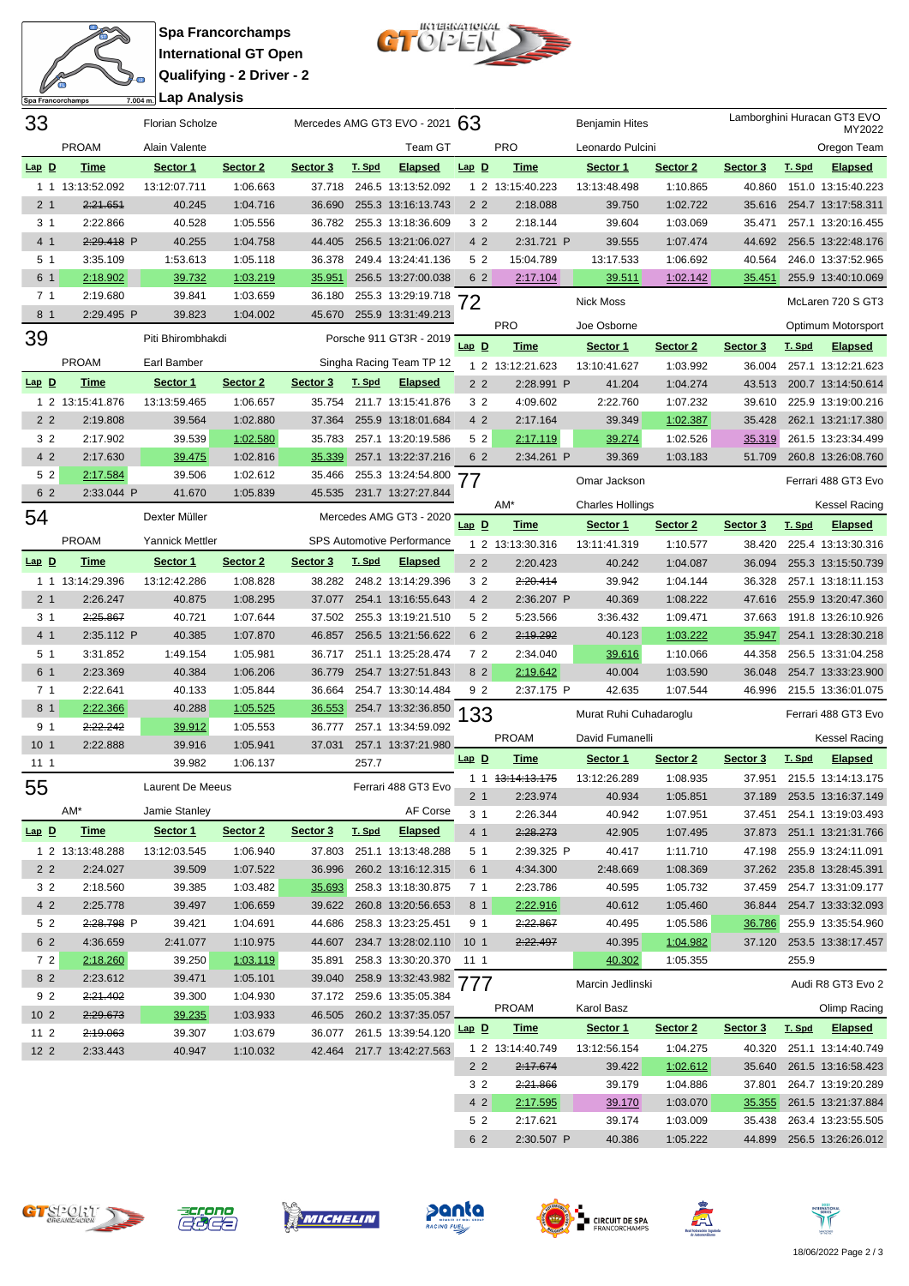

**Spa Francorchamps International GT Open Qualifying - 2 Driver - 2 Lap Analysis**



| 33              |                  | <b>Florian Scholze</b> |          | Mercedes AMG GT3 EVO - 2021 $63$ |        |                            |                 |                             | <b>Benjamin Hites</b>   |          | Lamborghini Huracan GT3 EVO<br>MY2022 |        |                           |  |
|-----------------|------------------|------------------------|----------|----------------------------------|--------|----------------------------|-----------------|-----------------------------|-------------------------|----------|---------------------------------------|--------|---------------------------|--|
|                 | <b>PROAM</b>     | Alain Valente          |          |                                  |        | Team GT                    |                 | <b>PRO</b>                  | Leonardo Pulcini        |          |                                       |        | Oregon Team               |  |
| $Lap$ $D$       | <b>Time</b>      | Sector 1               | Sector 2 | Sector 3                         | T. Spd | <u>Elapsed</u>             | $Lap$ $D$       | <b>Time</b>                 | Sector 1                | Sector 2 | Sector 3                              | T. Spd | <b>Elapsed</b>            |  |
|                 | 1 1 13:13:52.092 | 13:12:07.711           | 1:06.663 | 37.718                           |        | 246.5 13:13:52.092         |                 | 1 2 13:15:40.223            | 13:13:48.498            | 1:10.865 | 40.860                                |        | 151.0 13:15:40.223        |  |
| 2 <sub>1</sub>  | 2:21.651         | 40.245                 | 1:04.716 | 36.690                           |        | 255.3 13:16:13.743         | 2 <sub>2</sub>  | 2:18.088                    | 39.750                  | 1:02.722 | 35.616                                |        | 254.7 13:17:58.311        |  |
| 3 <sub>1</sub>  | 2:22.866         | 40.528                 | 1:05.556 | 36.782                           |        | 255.3 13:18:36.609         | 3 2             | 2:18.144                    | 39.604                  | 1:03.069 | 35.471                                |        | 257.1 13:20:16.455        |  |
| 4 1             | 2:29.418 P       | 40.255                 | 1:04.758 | 44.405                           |        | 256.5 13:21:06.027         | 4 2             | 2:31.721 P                  | 39.555                  | 1:07.474 | 44.692                                |        | 256.5 13:22:48.176        |  |
| 5 <sub>1</sub>  | 3:35.109         | 1:53.613               | 1:05.118 | 36.378                           |        | 249.4 13:24:41.136         | 5 2             | 15:04.789                   | 13:17.533               | 1:06.692 | 40.564                                |        | 246.0 13:37:52.965        |  |
| 6 1             | 2:18.902         | 39.732                 | 1:03.219 | 35.951                           |        | 256.5 13:27:00.038         | 6 2             | 2:17.104                    | 39.511                  | 1:02.142 | 35.451                                |        | 255.9 13:40:10.069        |  |
| 7 <sub>1</sub>  | 2:19.680         | 39.841                 | 1:03.659 | 36.180                           |        | 255.3 13:29:19.718         | 72              |                             | <b>Nick Moss</b>        |          |                                       |        | McLaren 720 S GT3         |  |
| 8 1             | 2:29.495 P       | 39.823                 | 1:04.002 | 45.670                           |        | 255.9 13:31:49.213         |                 |                             |                         |          |                                       |        |                           |  |
| 39              |                  | Piti Bhirombhakdi      |          |                                  |        | Porsche 911 GT3R - 2019    |                 | <b>PRO</b>                  | Joe Osborne             |          |                                       |        | Optimum Motorsport        |  |
|                 |                  |                        |          |                                  |        |                            | $Lap$ $D$       | <b>Time</b>                 | Sector 1                | Sector 2 | Sector 3                              | T. Spd | <b>Elapsed</b>            |  |
|                 | <b>PROAM</b>     | Earl Bamber            |          |                                  |        | Singha Racing Team TP 12   |                 | 1 2 13:12:21.623            | 13:10:41.627            | 1:03.992 | 36.004                                |        | 257.1 13:12:21.623        |  |
| $Lap$ $D$       | Time             | Sector 1               | Sector 2 | Sector 3                         | T. Spd | <b>Elapsed</b>             | 2 <sub>2</sub>  | 2:28.991 P                  | 41.204                  | 1:04.274 | 43.513                                |        | 200.7 13:14:50.614        |  |
|                 | 1 2 13:15:41.876 | 13:13:59.465           | 1:06.657 | 35.754                           |        | 211.7 13:15:41.876         | 3 <sub>2</sub>  | 4:09.602                    | 2:22.760                | 1:07.232 | 39.610                                |        | 225.9 13:19:00.216        |  |
| 2 <sub>2</sub>  | 2:19.808         | 39.564                 | 1:02.880 | 37.364                           |        | 255.9 13:18:01.684         | 4 2             | 2:17.164                    | 39.349                  | 1:02.387 | 35.428                                |        | 262.1 13:21:17.380        |  |
| 3 2             | 2:17.902         | 39.539                 | 1:02.580 | 35.783                           |        | 257.1 13:20:19.586         | 5 2             | 2:17.119                    | 39.274                  | 1:02.526 | 35.319                                |        | 261.5 13:23:34.499        |  |
| 4 2             | 2:17.630         | 39.475                 | 1:02.816 | 35.339                           |        | 257.1 13:22:37.216         | 6 2             | 2:34.261 P                  | 39.369                  | 1:03.183 | 51.709                                |        | 260.8 13:26:08.760        |  |
| 52              | 2:17.584         | 39.506                 | 1:02.612 | 35.466                           |        | 255.3 13:24:54.800         | 77              |                             | Omar Jackson            |          |                                       |        | Ferrari 488 GT3 Evo       |  |
| 6 2             | 2:33.044 P       | 41.670                 | 1:05.839 | 45.535                           |        | 231.7 13:27:27.844         |                 | AM*                         | <b>Charles Hollings</b> |          |                                       |        | <b>Kessel Racing</b>      |  |
| 54              |                  | Dexter Müller          |          |                                  |        | Mercedes AMG GT3 - 2020    | $Lap$ D         |                             |                         |          |                                       |        |                           |  |
|                 | <b>PROAM</b>     | <b>Yannick Mettler</b> |          |                                  |        | SPS Automotive Performance |                 | <b>Time</b>                 | Sector 1                | Sector 2 | Sector 3                              | T. Spd | <b>Elapsed</b>            |  |
|                 |                  |                        |          |                                  |        |                            |                 | 1 2 13:13:30.316            | 13:11:41.319            | 1:10.577 | 38.420                                |        | 225.4 13:13:30.316        |  |
| $Lap$ $D$       | <b>Time</b>      | Sector 1               | Sector 2 | Sector 3                         | T. Spd | <b>Elapsed</b>             | 2 <sub>2</sub>  | 2:20.423                    | 40.242                  | 1:04.087 | 36.094                                |        | 255.3 13:15:50.739        |  |
|                 | 1 1 13:14:29.396 | 13:12:42.286           | 1:08.828 | 38.282                           |        | 248.2 13:14:29.396         | 3 <sub>2</sub>  | 2:20.414                    | 39.942                  | 1:04.144 | 36.328                                |        | 257.1 13:18:11.153        |  |
| 2 <sub>1</sub>  | 2:26.247         | 40.875                 | 1:08.295 | 37.077                           |        | 254.1 13:16:55.643         | 4 2             | 2:36.207 P                  | 40.369                  | 1:08.222 | 47.616                                |        | 255.9 13:20:47.360        |  |
| 3 <sub>1</sub>  | 2:25.867         | 40.721                 | 1:07.644 | 37.502                           |        | 255.3 13:19:21.510         | 5 2             | 5:23.566                    | 3:36.432                | 1:09.471 | 37.663                                |        | 191.8 13:26:10.926        |  |
| 4 1             | 2:35.112 P       | 40.385                 | 1:07.870 | 46.857                           |        | 256.5 13:21:56.622         | 6 2             | 2:19.292                    | 40.123                  | 1:03.222 | 35.947                                |        | 254.1 13:28:30.218        |  |
| 5 <sub>1</sub>  | 3:31.852         | 1:49.154               | 1:05.981 | 36.717                           |        | 251.1 13:25:28.474         | 72              | 2:34.040                    | 39.616                  | 1:10.066 | 44.358                                |        | 256.5 13:31:04.258        |  |
| 6 1             | 2:23.369         | 40.384                 | 1:06.206 | 36.779                           |        | 254.7 13:27:51.843         | 8 2             | 2:19.642                    | 40.004                  | 1:03.590 | 36.048                                |        | 254.7 13:33:23.900        |  |
| 7 <sub>1</sub>  | 2:22.641         | 40.133                 | 1:05.844 | 36.664                           |        | 254.7 13:30:14.484         | 9 2             | 2:37.175 P                  | 42.635                  | 1:07.544 | 46.996                                |        | 215.5 13:36:01.075        |  |
| 8 1             | 2:22.366         | 40.288                 | 1:05.525 | 36.553                           |        | 254.7 13:32:36.850         | 133             |                             | Murat Ruhi Cuhadaroglu  |          |                                       |        | Ferrari 488 GT3 Evo       |  |
| 9 1             | 2:22.242         | 39.912                 | 1:05.553 | 36.777                           |        | 257.1 13:34:59.092         |                 | <b>PROAM</b>                | David Fumanelli         |          |                                       |        | Kessel Racing             |  |
| 10 <sub>1</sub> | 2:22.888         | 39.916                 | 1:05.941 | 37.031                           |        | 257.1 13:37:21.980         | $Lap$ D         | <b>Time</b>                 | Sector 1                | Sector 2 | Sector 3                              | T. Spd | <b>Elapsed</b>            |  |
| 111             |                  | 39.982                 | 1:06.137 |                                  | 257.7  |                            |                 | 1 1 <del>13:14:13.175</del> | 13:12:26.289            | 1:08.935 | 37.951                                |        | 215.5 13:14:13.175        |  |
| 55              |                  | Laurent De Meeus       |          |                                  |        | Ferrari 488 GT3 Evo        | 2 <sub>1</sub>  | 2:23.974                    | 40.934                  | 1:05.851 | 37.189                                |        | 253.5 13:16:37.149        |  |
|                 | AM*              | Jamie Stanley          |          |                                  |        | AF Corse                   | 3 <sub>1</sub>  | 2:26.344                    | 40.942                  | 1:07.951 | 37.451                                |        | 254.1 13:19:03.493        |  |
| $Lap$ $D$       | <b>Time</b>      | Sector 1               | Sector 2 | Sector 3                         | T. Spd | <b>Elapsed</b>             | 4 <sub>1</sub>  | 2:28.273                    | 42.905                  | 1:07.495 |                                       |        | 37.873 251.1 13:21:31.766 |  |
|                 | 1 2 13:13:48.288 | 13:12:03.545           | 1:06.940 | 37.803                           |        | 251.1 13:13:48.288         | 5 1             | 2:39.325 P                  | 40.417                  | 1:11.710 | 47.198                                |        | 255.9 13:24:11.091        |  |
| 2 <sub>2</sub>  | 2:24.027         | 39.509                 | 1:07.522 | 36.996                           |        | 260.2 13:16:12.315         | 6 1             | 4:34.300                    | 2:48.669                | 1:08.369 |                                       |        | 37.262 235.8 13:28:45.391 |  |
| 3 2             | 2:18.560         | 39.385                 | 1:03.482 | 35.693                           |        | 258.3 13:18:30.875         | 71              | 2:23.786                    | 40.595                  | 1:05.732 |                                       |        | 37.459 254.7 13:31:09.177 |  |
| 42              | 2:25.778         | 39.497                 | 1:06.659 |                                  |        | 39.622 260.8 13:20:56.653  | 8 1             | 2:22.916                    | 40.612                  | 1:05.460 | 36.844                                |        | 254.7 13:33:32.093        |  |
| 5 2             | 2:28.798 P       | 39.421                 | 1:04.691 | 44.686                           |        | 258.3 13:23:25.451         | 91              | 2:22.867                    | 40.495                  | 1:05.586 | <u>36.786</u>                         |        | 255.9 13:35:54.960        |  |
| 6 2             | 4:36.659         | 2:41.077               | 1:10.975 |                                  |        | 44.607 234.7 13:28:02.110  | 10 <sub>1</sub> | 2:22.497                    | 40.395                  | 1:04.982 |                                       |        | 37.120 253.5 13:38:17.457 |  |
| 72              | 2:18.260         | 39.250                 | 1:03.119 | 35.891                           |        | 258.3 13:30:20.370 11 1    |                 |                             | 40.302                  | 1:05.355 |                                       | 255.9  |                           |  |
| 8 2             | 2:23.612         | 39.471                 | 1:05.101 |                                  |        | 39.040 258.9 13:32:43.982  |                 |                             |                         |          |                                       |        |                           |  |
| 92              | 2:21.402         | 39.300                 | 1:04.930 |                                  |        | 37.172 259.6 13:35:05.384  | '77             |                             | Marcin Jedlinski        |          |                                       |        | Audi R8 GT3 Evo 2         |  |
| 10 <sub>2</sub> | 2:29.673         | 39.235                 | 1:03.933 | 46.505                           |        | 260.2 13:37:35.057         |                 | <b>PROAM</b>                | Karol Basz              |          |                                       |        | Olimp Racing              |  |
| $112$           | 2:19.063         | 39.307                 | 1:03.679 | 36.077                           |        | 261.5 13:39:54.120 Lap D   |                 | <b>Time</b>                 | Sector 1                | Sector 2 | Sector 3                              | T. Spd | <b>Elapsed</b>            |  |
| $122$           | 2:33.443         | 40.947                 | 1:10.032 |                                  |        | 42.464 217.7 13:42:27.563  |                 | 1 2 13:14:40.749            | 13:12:56.154            | 1:04.275 | 40.320                                |        | 251.1 13:14:40.749        |  |
|                 |                  |                        |          |                                  |        |                            | 2 <sub>2</sub>  | 2:17.674                    | 39.422                  | 1:02.612 | 35.640                                |        | 261.5 13:16:58.423        |  |
|                 |                  |                        |          |                                  |        |                            | 3 <sub>2</sub>  | 2:21.866                    | 39.179                  | 1:04.886 | 37.801                                |        | 264.7 13:19:20.289        |  |
|                 |                  |                        |          |                                  |        |                            | 4 2             | 2:17.595                    | 39.170                  | 1:03.070 | 35.355                                |        | 261.5 13:21:37.884        |  |
|                 |                  |                        |          |                                  |        |                            | 5 2             | 2:17.621                    | 39.174                  | 1:03.009 | 35.438                                |        | 263.4 13:23:55.505        |  |













2 2:30.507 P 40.386 1:05.222 44.899 256.5 13:26:26.012

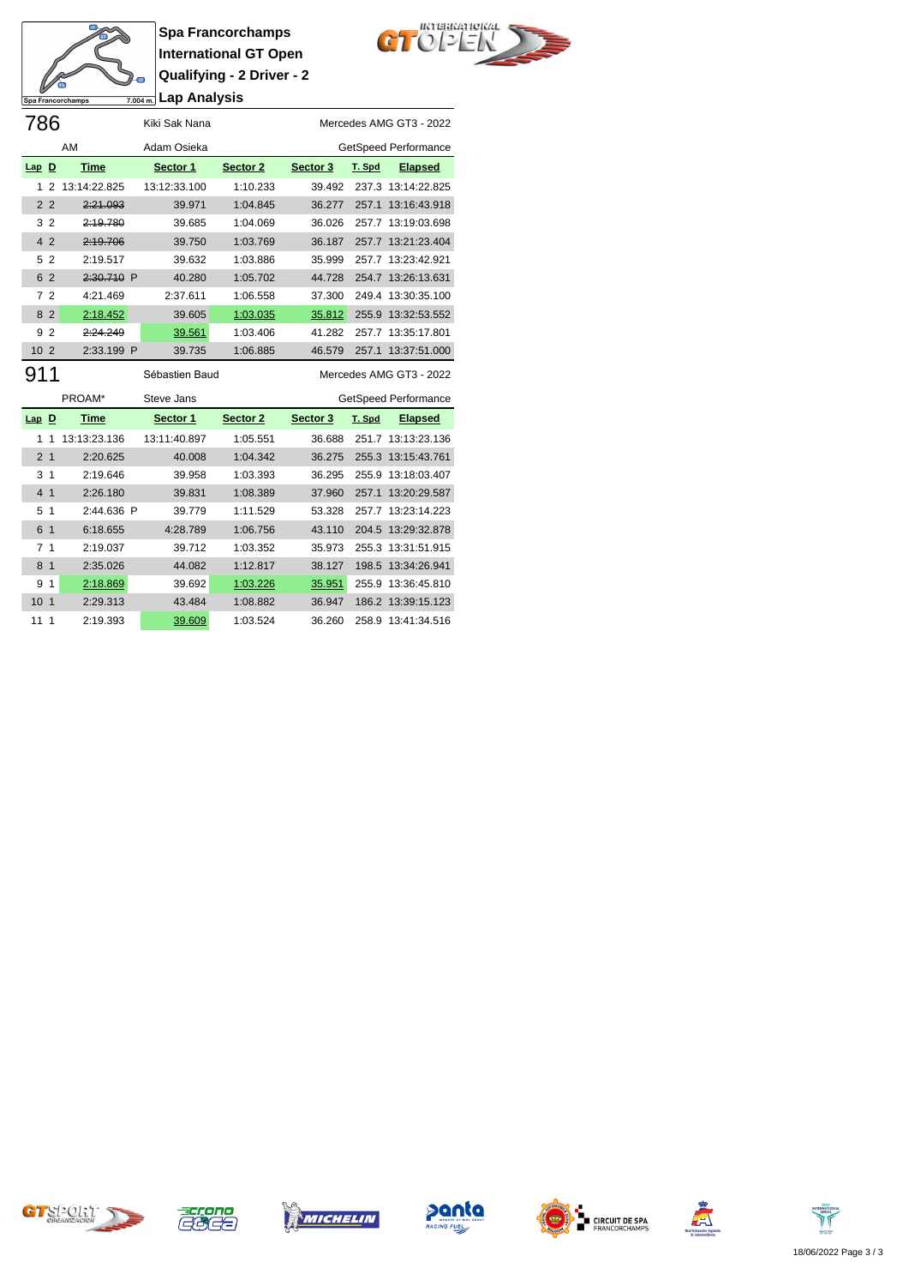

**Spa Francorchamps International GT Open Qualifying - 2 Driver - 2 Lap Analysis**



| 786                 |              | Kiki Sak Nana  |          | Mercedes AMG GT3 - 2022 |        |                      |  |  |  |  |  |
|---------------------|--------------|----------------|----------|-------------------------|--------|----------------------|--|--|--|--|--|
|                     | AM           | Adam Osieka    |          |                         |        | GetSpeed Performance |  |  |  |  |  |
| $Lap$ D             | <b>Time</b>  | Sector 1       | Sector 2 | Sector 3                | T. Spd | <b>Elapsed</b>       |  |  |  |  |  |
| 2<br>1              | 13:14:22.825 | 13:12:33.100   | 1:10.233 | 39.492                  | 237.3  | 13:14:22.825         |  |  |  |  |  |
| 2 <sub>2</sub>      | 2:21.093     | 39.971         | 1:04.845 | 36.277                  |        | 257.1 13:16:43.918   |  |  |  |  |  |
| $\overline{2}$<br>3 | 2:19.780     | 39.685         | 1:04.069 | 36.026                  |        | 257.7 13:19:03.698   |  |  |  |  |  |
| 4 <sub>2</sub>      | 2:19.706     | 39.750         | 1:03.769 | 36.187                  |        | 257.7 13:21:23.404   |  |  |  |  |  |
| $\overline{2}$<br>5 | 2:19.517     | 39.632         | 1:03.886 | 35.999                  |        | 257.7 13:23:42.921   |  |  |  |  |  |
| 6 2                 | 2:30.710 P   | 40.280         | 1:05.702 | 44.728                  |        | 254.7 13:26:13.631   |  |  |  |  |  |
| 72                  | 4:21.469     | 2:37.611       | 1:06.558 | 37.300                  | 249.4  | 13:30:35.100         |  |  |  |  |  |
| 8<br>$\overline{2}$ | 2:18.452     | 39.605         | 1:03.035 | 35.812                  | 255.9  | 13:32:53.552         |  |  |  |  |  |
| $\overline{2}$<br>9 | 2:24.249     | 39.561         | 1:03.406 | 41.282                  | 257.7  | 13:35:17.801         |  |  |  |  |  |
| 10 <sub>2</sub>     | 2:33.199 P   | 39.735         | 1:06.885 | 46.579                  | 257.1  | 13:37:51.000         |  |  |  |  |  |
| 911                 |              | Sébastien Baud |          | Mercedes AMG GT3 - 2022 |        |                      |  |  |  |  |  |
|                     | PROAM*       | Steve Jans     |          | GetSpeed Performance    |        |                      |  |  |  |  |  |
| $Lap$ D             | Time         | Sector 1       | Sector 2 | Sector 3                | T. Spd | <b>Elapsed</b>       |  |  |  |  |  |

| $Lap$ D         |                | Time         | Sector 1     | Sector 2 | Sector 3 | <u>T. Spd</u> | <b>Llapsed</b>     |
|-----------------|----------------|--------------|--------------|----------|----------|---------------|--------------------|
|                 | 1              | 13:13:23.136 | 13:11:40.897 | 1:05.551 | 36.688   |               | 251.7 13:13:23.136 |
| 2 <sub>1</sub>  |                | 2:20.625     | 40.008       | 1:04.342 | 36.275   |               | 255.3 13:15:43.761 |
|                 | 3 <sub>1</sub> | 2:19.646     | 39.958       | 1:03.393 | 36.295   |               | 255.9 13:18:03.407 |
| 4               | $\mathbf 1$    | 2:26.180     | 39.831       | 1:08.389 | 37.960   |               | 257.1 13:20:29.587 |
| 5 <sub>1</sub>  |                | $2:44.636$ P | 39.779       | 1:11.529 | 53.328   |               | 257.7 13:23:14.223 |
| 6               | $\mathbf{1}$   | 6:18.655     | 4:28.789     | 1:06.756 | 43.110   |               | 204.5 13:29:32.878 |
|                 | 7 <sub>1</sub> | 2:19.037     | 39.712       | 1:03.352 | 35.973   |               | 255.3 13:31:51.915 |
| 8               | $\overline{1}$ | 2:35.026     | 44.082       | 1:12.817 | 38.127   |               | 198.5 13:34:26.941 |
| 9               | 1              | 2:18.869     | 39.692       | 1:03.226 | 35.951   |               | 255.9 13:36:45.810 |
| 10 <sub>1</sub> |                | 2:29.313     | 43.484       | 1:08.882 | 36.947   |               | 186.2 13:39:15.123 |
| 1111            |                | 2:19.393     | 39.609       | 1:03.524 | 36.260   |               | 258.9 13:41:34.516 |













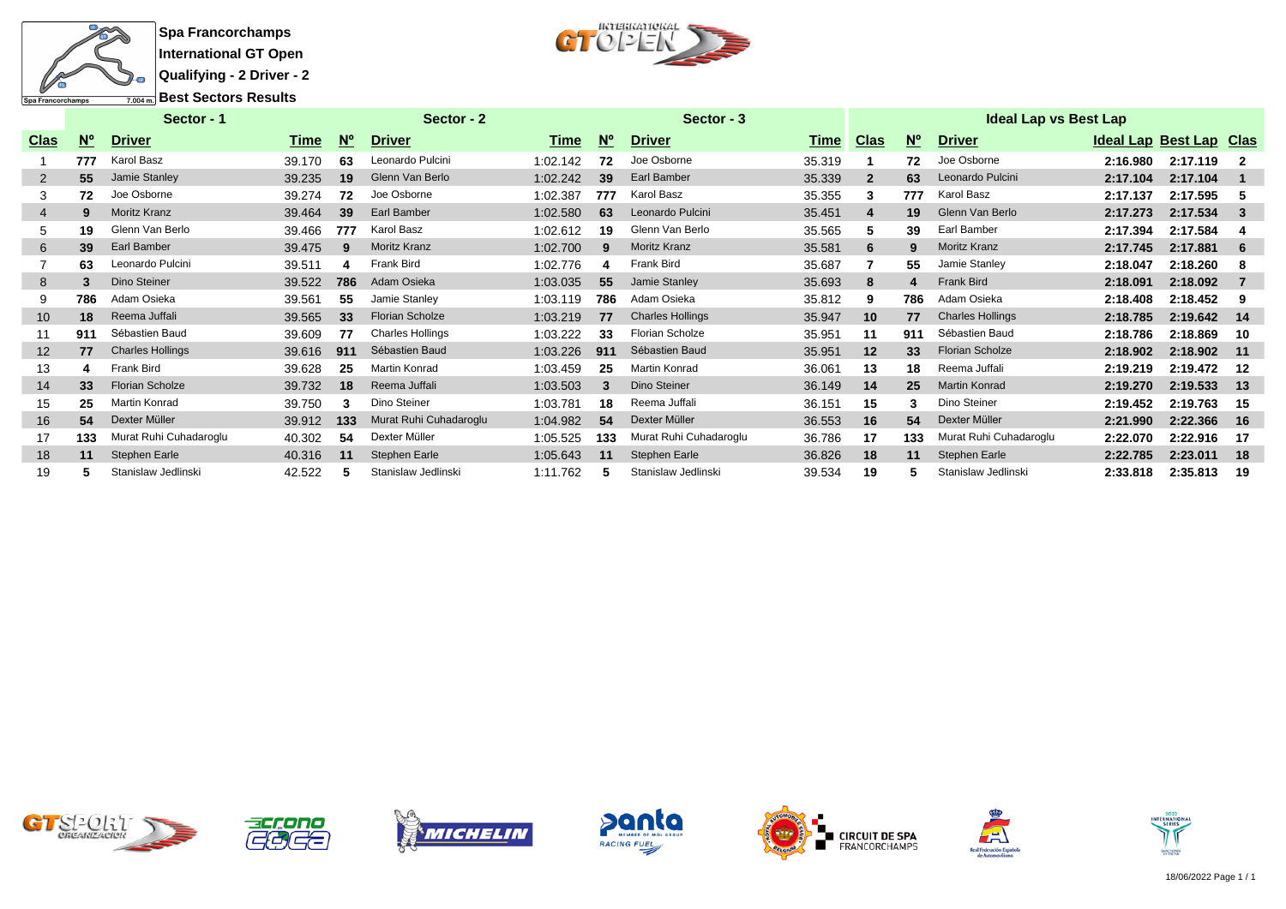

 $CT$ <sup>*ucreakariokal*</sup>

|             | Sector - 1  |                         |        |             | Sector - 2              | Sector - 3 |            |                         | Ideal Lap vs Best Lap |                |             |                         |                         |          |     |  |  |
|-------------|-------------|-------------------------|--------|-------------|-------------------------|------------|------------|-------------------------|-----------------------|----------------|-------------|-------------------------|-------------------------|----------|-----|--|--|
| <b>Clas</b> | $N^{\circ}$ | <b>Driver</b>           | Time   | $N^{\circ}$ | <b>Driver</b>           | Time       | <b>N</b> ° | <b>Driver</b>           | Time                  | <b>Clas</b>    | $N^{\circ}$ | <b>Driver</b>           | Ideal Lap Best Lap Clas |          |     |  |  |
|             | 777         | Karol Basz              | 39.170 | 63          | Leonardo Pulcini        | 1:02.142   | 72         | Joe Osborne             | 35.319                |                | 72          | Joe Osborne             | 2:16.980                | 2:17.119 |     |  |  |
| 2           | 55          | Jamie Stanley           | 39.235 | 19          | Glenn Van Berlo         | 1:02.242   | 39         | Earl Bamber             | 35.339                | $\overline{2}$ | 63          | Leonardo Pulcini        | 2:17.104                | 2:17.104 |     |  |  |
|             | 72          | Joe Osborne             | 39.274 | 72          | Joe Osborne             | 1:02.387   | 777        | Karol Basz              | 35.355                | 3              | 777         | Karol Basz              | 2:17.137                | 2:17.595 |     |  |  |
| 4           | 9           | <b>Moritz Kranz</b>     | 39.464 | 39          | <b>Earl Bamber</b>      | 1:02.580   | 63         | Leonardo Pulcini        | 35.451                | 4              | 19          | Glenn Van Berlo         | 2:17.273                | 2:17.534 | 3   |  |  |
| 5           | 19          | Glenn Van Berlo         | 39.466 | 777         | Karol Basz              | 1:02.612   | 19         | Glenn Van Berlo         | 35.565                | 5              | 39          | Earl Bamber             | 2:17.394                | 2:17.584 |     |  |  |
| 6           | 39          | Earl Bamber             | 39.475 | 9           | <b>Moritz Kranz</b>     | 1:02.700   | 9          | <b>Moritz Kranz</b>     | 35.581                | 6              | 9           | <b>Moritz Kranz</b>     | 2:17.745                | 2:17.881 | 6   |  |  |
|             | 63          | Leonardo Pulcini        | 39.511 |             | <b>Frank Bird</b>       | 1:02.776   | 4          | <b>Frank Bird</b>       | 35.687                |                | 55          | Jamie Stanley           | 2:18.047                | 2:18.260 | 8   |  |  |
| 8           | 3           | Dino Steiner            | 39.522 | 786         | Adam Osieka             | 1:03.035   | 55         | Jamie Stanley           | 35.693                | 8              | Δ           | <b>Frank Bird</b>       | 2:18.091                | 2:18.092 |     |  |  |
| 9           | 786         | Adam Osieka             | 39.561 | 55          | Jamie Stanley           | 1:03.119   | 786        | Adam Osieka             | 35.812                | 9              | 786         | Adam Osieka             | 2:18.408                | 2:18.452 | 9   |  |  |
| 10          | 18          | Reema Juffali           | 39.565 | 33          | <b>Florian Scholze</b>  | 1:03.219   | 77         | <b>Charles Hollings</b> | 35.947                | 10             | 77          | <b>Charles Hollings</b> | 2:18.785                | 2:19.642 | 14  |  |  |
|             | 911         | Sébastien Baud          | 39.609 | 77          | <b>Charles Hollings</b> | 1:03.222   | 33         | <b>Florian Scholze</b>  | 35.951                | 11             | 911         | Sébastien Baud          | 2:18.786                | 2:18.869 | 10  |  |  |
| 12          | 77          | <b>Charles Hollings</b> | 39.616 | 911         | Sébastien Baud          | 1:03.226   | 911        | Sébastien Baud          | 35.951                | 12             | 33          | <b>Florian Scholze</b>  | 2:18.902                | 2:18.902 | 11  |  |  |
| 13          |             | Frank Bird              | 39.628 | 25          | <b>Martin Konrad</b>    | 1:03.459   | 25         | Martin Konrad           | 36.061                | 13             | 18          | Reema Juffali           | 2:19.219                | 2:19.472 | 12  |  |  |
| 14          | 33          | <b>Florian Scholze</b>  | 39.732 | 18          | Reema Juffali           | 1:03.503   | 3          | Dino Steiner            | 36.149                | 14             | 25          | <b>Martin Konrad</b>    | 2:19.270                | 2:19.533 | 13  |  |  |
| 15          | 25          | Martin Konrad           | 39.750 |             | Dino Steiner            | 1:03.781   | 18         | Reema Juffali           | 36.151                | 15             |             | Dino Steiner            | 2:19.452                | 2:19.763 | 15  |  |  |
| 16          | 54          | Dexter Müller           | 39.912 | 133         | Murat Ruhi Cuhadaroglu  | 1:04.982   | 54         | Dexter Müller           | 36.553                | 16             | 54          | Dexter Müller           | 2:21.990                | 2:22.366 | -16 |  |  |
| 17          | 133         | Murat Ruhi Cuhadaroglu  | 40.302 | 54          | Dexter Müller           | 1:05.525   | 133        | Murat Ruhi Cuhadaroglu  | 36.786                | 17             | 133         | Murat Ruhi Cuhadaroglu  | 2:22.070                | 2:22.916 | -17 |  |  |
| 18          | 11          | Stephen Earle           | 40.316 | 11          | <b>Stephen Earle</b>    | 1:05.643   | 11         | Stephen Earle           | 36.826                | 18             | 11          | Stephen Earle           | 2:22.785                | 2:23.011 | 18  |  |  |
| 19          |             | Stanislaw Jedlinski     | 42.522 |             | Stanislaw Jedlinski     | 1:11.762   |            | Stanislaw Jedlinski     | 39.534                | 19             |             | Stanislaw Jedlinski     | 2:33.818                | 2:35.813 | 19  |  |  |













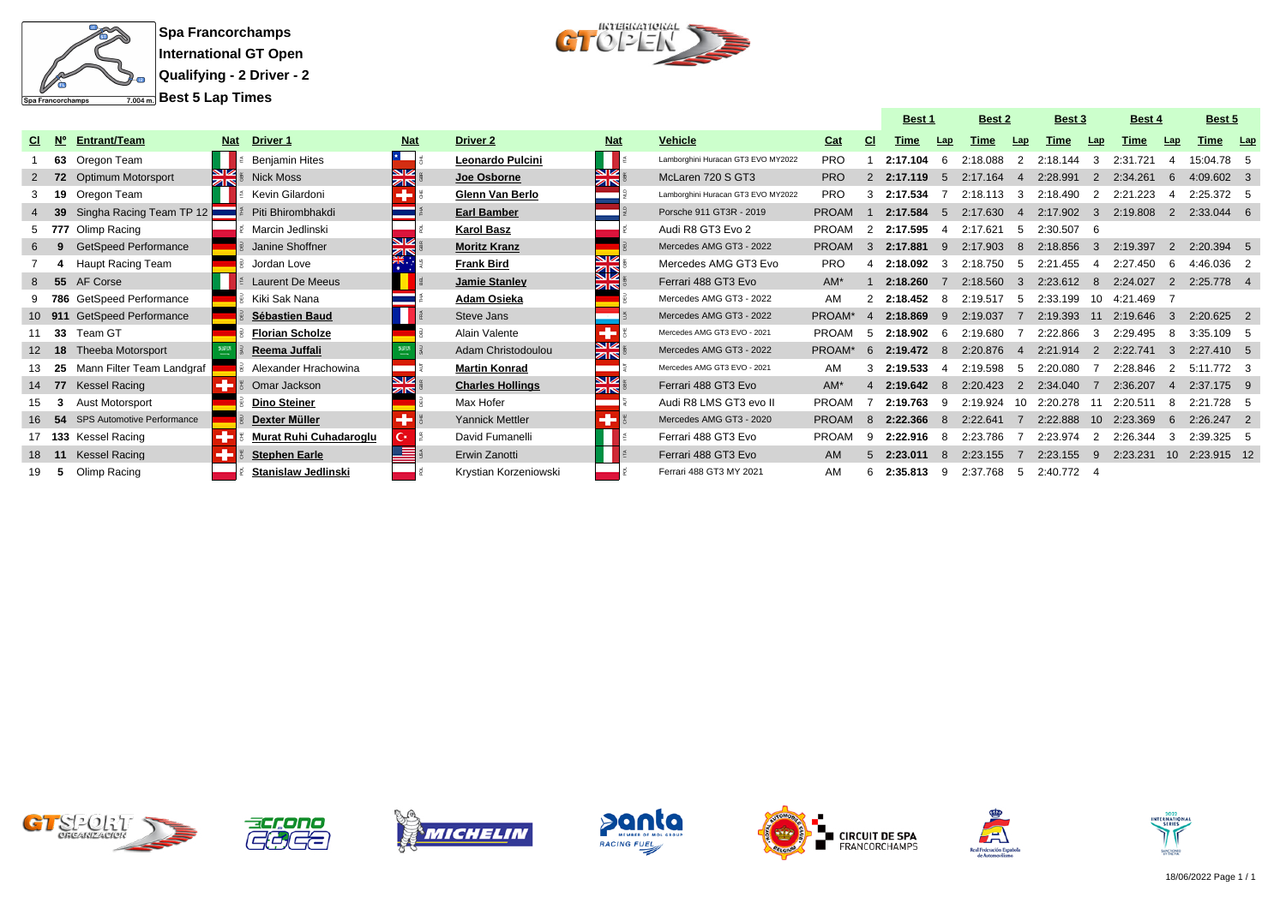



|     |             |                             |               |                            |                                      |                         |                                     |                                    |              |                  | <b>Best 1</b> |              |             |                | <b>Best 2</b> |                | <b>Best 3</b> |                | <b>Best 4</b>   |  | <b>Best 5</b> |  |
|-----|-------------|-----------------------------|---------------|----------------------------|--------------------------------------|-------------------------|-------------------------------------|------------------------------------|--------------|------------------|---------------|--------------|-------------|----------------|---------------|----------------|---------------|----------------|-----------------|--|---------------|--|
| CI. | $N^{\circ}$ | <b>Entrant/Team</b>         | <b>Nat</b>    | <b>Driver 1</b>            | <b>Nat</b>                           | <b>Driver 2</b>         | <b>Nat</b>                          | <b>Vehicle</b>                     | Cat          | <b>CI</b>        | Time          | Lap          | <b>Time</b> | Lap            | Time          | Lap            | Time          | Lap            | Time <u>Lap</u> |  |               |  |
|     |             | 63 Oregon Team              |               | <b>Beniamin Hites</b>      |                                      | Leonardo Pulcini        |                                     | Lamborghini Huracan GT3 EVO MY2022 | <b>PRO</b>   |                  | 2:17.104      |              | 2:18.088    |                | 2:18.144      | -3             | 2:31.721      |                | 15:04.78 5      |  |               |  |
|     |             | 72 Optimum Motorsport       | $\frac{N}{N}$ | <b>Nick Moss</b>           | <b>SV</b><br>$\overline{\mathbb{Z}}$ | Joe Osborne             | স<br>ম                              | McLaren 720 S GT3                  | <b>PRO</b>   | $\mathcal{P}$    | 2:17.119      | -5           | 2:17.164    |                | 2:28.991      | 2              | 2:34.261      | 6              | $4:09.602$ 3    |  |               |  |
|     |             | 19 Oregon Team              |               | Kevin Gilardoni            |                                      | Glenn Van Berlo         |                                     | Lamborghini Huracan GT3 EVO MY2022 | <b>PRO</b>   | з                | 2:17.534      |              | 2:18.113    | $\mathbf{B}$   | 2:18.490      | 2              | 2:21.223      | $\mathbf 4$    | 2:25.372 5      |  |               |  |
|     | - 39        | Singha Racing Team TP 12    |               | Piti Bhirombhakdi          |                                      | <b>Earl Bamber</b>      |                                     | Porsche 911 GT3R - 2019            | <b>PROAM</b> |                  | 2:17.584      | -5           | 2:17.630    | $\mathbf{A}$   | 2:17.902      | -3             | 2:19.808      | 2              | 2:33.044 6      |  |               |  |
|     |             | 5 777 Olimp Racing          |               | Marcin Jedlinski           |                                      | <b>Karol Basz</b>       |                                     | Audi R8 GT3 Evo 2                  | <b>PROAM</b> | $\mathcal{L}$    | 2:17.595      | -4           | 2:17.621    | -5             | $2:30.507$ 6  |                |               |                |                 |  |               |  |
|     |             | <b>GetSpeed Performance</b> |               | Janine Shoffner            | $\overline{\mathbb{Z}}$              | <b>Moritz Kranz</b>     |                                     | Mercedes AMG GT3 - 2022            | <b>PROAM</b> |                  | 2:17.881      | q            | 2:17.903    | 8              | 2:18.856      | $\mathbf{B}$   | 2:19.397      | 2              | $2:20.394$ 5    |  |               |  |
|     |             | Haupt Racing Team           |               | Jordan Love                |                                      | <b>Frank Bird</b>       | V<br>32                             | Mercedes AMG GT3 Evo               | <b>PRO</b>   |                  | 2:18.092      |              | 2:18.750    | -5             | 2:21.455      | -4             | 2:27.450      | -6             | 4:46.036 2      |  |               |  |
| 8   |             | 55 AF Corse                 |               | <b>Laurent De Meeus</b>    |                                      | Jamie Stanley           | <b>ZIN</b>                          | Ferrari 488 GT3 Evo                | $AM^*$       |                  | 2:18.260      |              | 2:18.560    | $\mathbf{3}$   | 2:23.612      | - 8            | 2:24.027      | 2              | 2:25.778 4      |  |               |  |
|     |             | 9 786 GetSpeed Performance  |               | Kiki Sak Nana              |                                      | Adam Osieka             |                                     | Mercedes AMG GT3 - 2022            | AM           |                  | 2:18.452 8    |              | 2:19.517    | -5             | 2:33.199      | - 10           | 4:21.469      |                |                 |  |               |  |
|     |             | 10 911 GetSpeed Performance |               | <b>Sébastien Baud</b>      |                                      | Steve Jans              |                                     | Mercedes AMG GT3 - 2022            | PROAM*       | $\mathbf{A}$     | 2:18.869      |              | 2:19.037    |                | 2:19.393      | 11             | 2:19.646      | -3             | $2:20.625$ 2    |  |               |  |
|     | - 33        | Team GT                     |               | <b>Florian Scholze</b>     |                                      | Alain Valente           |                                     | Mercedes AMG GT3 EVO - 2021        | <b>PROAM</b> | -5               | 2:18.902      | - 6          | 2:19.680    | - 7            | 2:22.866      | - 3            | 2:29.495      | 8              | 3:35.109 5      |  |               |  |
| 12  | 18          | <b>Theeba Motorsport</b>    |               | Reema Juffali              |                                      | Adam Christodoulou      | NZ<br>ar                            | Mercedes AMG GT3 - 2022            | PROAM*       | $6 \overline{6}$ | 2:19.472      | -8           | 2:20.876    | $\overline{A}$ | 2:21.914      | $\overline{2}$ | 2:22.741      | $\mathbf{3}$   | $2:27.410$ 5    |  |               |  |
|     | - 25        | Mann Filter Team Landgraf   |               | Alexander Hrachowina       |                                      | <b>Martin Konrad</b>    |                                     | Mercedes AMG GT3 EVO - 2021        | AM           |                  | 2:19.533      | $\mathbf{A}$ | 2:19.598    | -5             | 2:20.080      |                | 2:28.846      | 2              | 5:11.772 3      |  |               |  |
|     | 14 77       | <b>Kessel Racing</b>        |               | Omar Jackson               | NZ<br>zis                            | <b>Charles Hollings</b> | <b>N</b><br>$\overline{\mathbb{Z}}$ | Ferrari 488 GT3 Evo                | $AM^*$       |                  | 2:19.642      |              | 2:20.423    | $\mathcal{P}$  | 2:34.040      |                | 2:36.207      | $\overline{4}$ | $2:37.175$ 9    |  |               |  |
| 15  | 3           | Aust Motorsport             |               | <b>Dino Steiner</b>        |                                      | Max Hofer               |                                     | Audi R8 LMS GT3 evo II             | <b>PROAM</b> |                  | 2:19.763      | -9           | 2:19.924    | 10             | 2:20.278      | -11            | 2:20.511      | 8              | 2:21.728 5      |  |               |  |
| 16  | 54          | SPS Automotive Performance  |               | Dexter Müller              |                                      | <b>Yannick Mettler</b>  |                                     | Mercedes AMG GT3 - 2020            | <b>PROAM</b> | $\mathbf{R}$     | 2:22.366      | $\mathbf{R}$ | 2:22.641    |                | 2:22.888      |                | 10 2:23.369   | 6              | $2:26.247$ 2    |  |               |  |
|     |             | 17 133 Kessel Racing        |               | Murat Ruhi Cuhadaroglu     | $\mathbf{C}^*$                       | David Fumanelli         |                                     | Ferrari 488 GT3 Evo                | <b>PROAM</b> | q                | 2:22.916      |              | 2:23.786    |                | 2:23.974      | 2              | 2:26.344      | 3              | $2:39.325$ 5    |  |               |  |
|     |             | 18 11 Kessel Racing         |               | <b>Stephen Earle</b>       |                                      | Erwin Zanotti           |                                     | Ferrari 488 GT3 Evo                | <b>AM</b>    | 5                | 2:23.011      |              | 2:23.155    |                | 2:23.155      | -9             | 2:23.231      |                | 10 2:23.915 12  |  |               |  |
|     |             | Olimp Racing                |               | <b>Stanislaw Jedlinski</b> |                                      | Krystian Korzeniowski   |                                     | Ferrari 488 GT3 MY 2021            | AM           | 6                | 2:35.813      | -9           | 2:37.768    | -5             | 2:40.772 4    |                |               |                |                 |  |               |  |















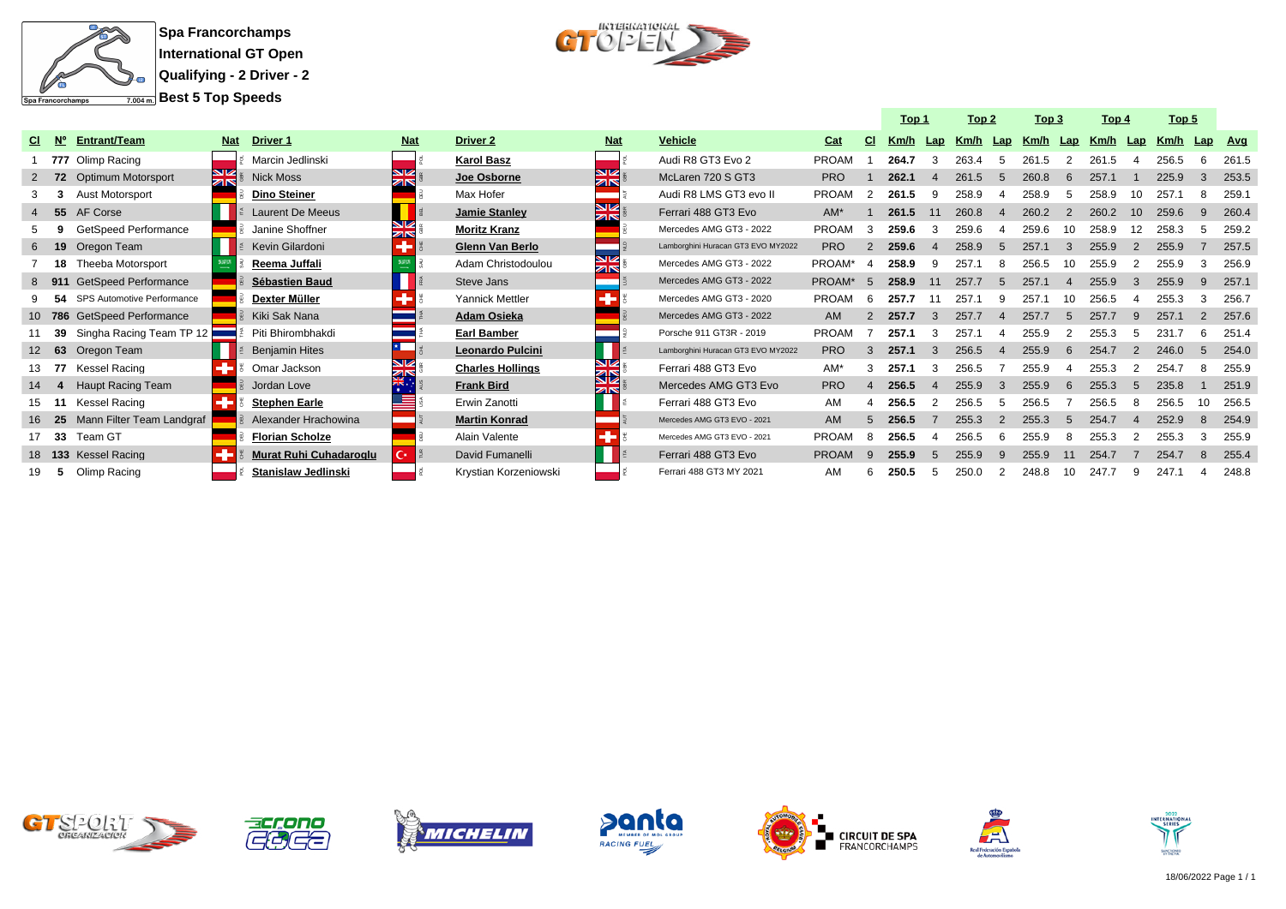



|     |                   |                                   |            |                         |            |                         |                          |                                    |              |    | Top 1    |               | Top 2    |                | Top 3 |                          | Top 4    |    | Top 5 |    |         |
|-----|-------------------|-----------------------------------|------------|-------------------------|------------|-------------------------|--------------------------|------------------------------------|--------------|----|----------|---------------|----------|----------------|-------|--------------------------|----------|----|-------|----|---------|
| CI. | <b>N°</b>         | Entrant/Team                      | <b>Nat</b> | <b>Driver 1</b>         | <b>Nat</b> | <b>Driver 2</b>         | <b>Nat</b>               | Vehicle                            | Cat          | СI | Km/h Lap |               | Km/h Lap |                | Km/h  | Lap                      | Km/h Lap |    | Km/h  |    | Lap Avg |
|     |                   | 777 Olimp Racing                  |            | Marcin Jedlinski        |            | <b>Karol Basz</b>       |                          | Audi R8 GT3 Evo 2                  | <b>PROAM</b> |    | 264.7    |               | 263.4    |                | 261.5 |                          | 261.5    |    | 256.5 |    | 261.5   |
|     | $2 \overline{72}$ | <b>Optimum Motorsport</b>         | NZ<br>zis  | <b>Nick Moss</b>        | zir        | Joe Osborne             | <b>NIZ</b><br>ZIN        | McLaren 720 S GT3                  | <b>PRO</b>   |    | 262.1    |               | 261.5    | 5              | 260.8 | $6\overline{6}$          | 257.1    |    | 225.9 | 3  | 253.5   |
|     |                   | <b>Aust Motorsport</b>            |            | <b>Dino Steiner</b>     |            | Max Hofer               |                          | Audi R8 LMS GT3 evo II             | <b>PROAM</b> | 2  | 261.5    | -9            | 258.9    |                | 258.9 | .5                       | 258.9    | 10 | 257.1 |    | 259.7   |
|     | 4 55              | AF Corse                          |            | <b>Laurent De Meeus</b> |            | Jamie Stanley           | <b>SIZ</b><br><b>ZIN</b> | Ferrari 488 GT3 Evo                | $AM^*$       |    | 261.5    | 11            | 260.8    |                | 260.2 |                          | 260.2    | 10 | 259.6 |    | 260.4   |
|     |                   | <b>GetSpeed Performance</b>       |            | Janine Shoffner         | NØ.<br>ZIN | <b>Moritz Kranz</b>     |                          | Mercedes AMG GT3 - 2022            | <b>PROAM</b> | 3  | 259.6    |               | 259.6    |                | 259.6 |                          | 258.9    |    | 258.3 |    | 259.2   |
|     | 6 19              | Oregon Team                       |            | Kevin Gilardoni         |            | <b>Glenn Van Berlo</b>  |                          | Lamborghini Huracan GT3 EVO MY2022 | <b>PRO</b>   |    | 259.6    |               | 258.9    |                | 257.1 |                          | 255.9    |    | 255.9 |    | 257.5   |
|     | 18                | Theeba Motorsport                 |            | Reema Juffali           |            | Adam Christodoulou      | <b>N</b> Z<br><b>ZIN</b> | Mercedes AMG GT3 - 2022            | PROAM*       | 4  | 258.9    | ٩             | 257.1    |                | 256.5 | 10                       | 255.9    |    | 255.9 |    | 256.9   |
|     | 8 911             | <b>GetSpeed Performance</b>       |            | <b>Sébastien Baud</b>   |            | Steve Jans              |                          | Mercedes AMG GT3 - 2022            | PROAM*       | -5 | 258.9    | 11            | 257.7    | $5^{\circ}$    | 257.1 | $\boldsymbol{\varDelta}$ | 255.9    |    | 255.9 |    | 257.1   |
|     |                   | <b>SPS Automotive Performance</b> |            | Dexter Müller           |            | Yannick Mettler         |                          | Mercedes AMG GT3 - 2020            | <b>PROAM</b> | 6  | 257.7    |               | 257.1    |                | 257.1 |                          | 256.5    |    | 255.3 |    | 256.7   |
|     |                   | 10 786 GetSpeed Performance       |            | Kiki Sak Nana           |            | Adam Osieka             |                          | Mercedes AMG GT3 - 2022            | <b>AM</b>    |    | 257.7    |               | 257.7    |                | 257.7 | .5                       | 257.7    |    | 257.1 |    | 257.6   |
|     | 39                | Singha Racing Team TP 12          |            | Piti Bhirombhakdi       |            | <b>Earl Bamber</b>      |                          | Porsche 911 GT3R - 2019            | PROAM        |    | 257.1    |               | 257.1    |                | 255.9 |                          | 255.3    |    | 231.7 |    | 251.4   |
|     | 12 63             | Oregon Team                       |            | <b>Benjamin Hites</b>   |            | <b>Leonardo Pulcini</b> |                          | Lamborghini Huracan GT3 EVO MY2022 | <b>PRO</b>   | 3  | 257.1    | $\mathcal{R}$ | 256.5    | $\Delta$       | 255.9 | $\epsilon$               | 254.7    |    | 246.0 | -5 | 254.0   |
|     | 13 77             | Kessel Racing                     |            | Omar Jackson            | <b>NR</b>  | <b>Charles Hollings</b> | <b>SIZ</b><br>ৱচ         | Ferrari 488 GT3 Evo                | AM*          | 3  | 257.1    |               | 256.5    |                | 255.9 |                          | 255.3    |    | 254.7 |    | 255.9   |
|     |                   | <b>Haupt Racing Team</b>          |            | Jordan Love             |            | <b>Frank Bird</b>       | ZIN                      | Mercedes AMG GT3 Evo               | <b>PRO</b>   |    | 256.5    |               | 255.9    | $\mathcal{B}$  | 255.9 | 6                        | 255.3    | -5 | 235.8 |    | 251.9   |
|     | 15 11             | Kessel Racing                     |            | <b>Stephen Earle</b>    |            | Erwin Zanotti           |                          | Ferrari 488 GT3 Evo                | AM           |    | 256.5    |               | 256.5    |                | 256.5 |                          | 256.5    |    | 256.5 |    | 256.5   |
|     | 16 25             | Mann Filter Team Landgraf         |            | Alexander Hrachowina    |            | <b>Martin Konrad</b>    |                          | Mercedes AMG GT3 EVO - 2021        | <b>AM</b>    | 5  | 256.5    |               | 255.3    | $\overline{2}$ | 255.3 | $\overline{5}$           | 254.7    |    | 252.9 | -8 | 254.9   |
|     | 17 33             | Team GT                           |            | <b>Florian Scholze</b>  |            | Alain Valente           | л.                       | Mercedes AMG GT3 EVO - 2021        | <b>PROAM</b> | 8  | 256.5    |               | 256.5    | 6              | 255.9 | 8                        | 255.3    |    | 255.3 |    | 255.9   |
|     |                   | 18 133 Kessel Racing              |            | Murat Ruhi Cuhadaroglu  | c.         | David Fumanelli         |                          | Ferrari 488 GT3 Evo                | <b>PROAM</b> | 9  | 255.9    |               | 255.9    | q              | 255.9 | 11                       | 254.7    |    | 254.7 |    | 255.4   |
|     | -5                | Olimp Racing                      |            | Stanislaw Jedlinski     |            | Krystian Korzeniowski   |                          | Ferrari 488 GT3 MY 2021            | AM           | 6  | 250.5    |               | 250.0    |                | 248.8 |                          | 247.7    |    | 247.1 |    | 248.8   |















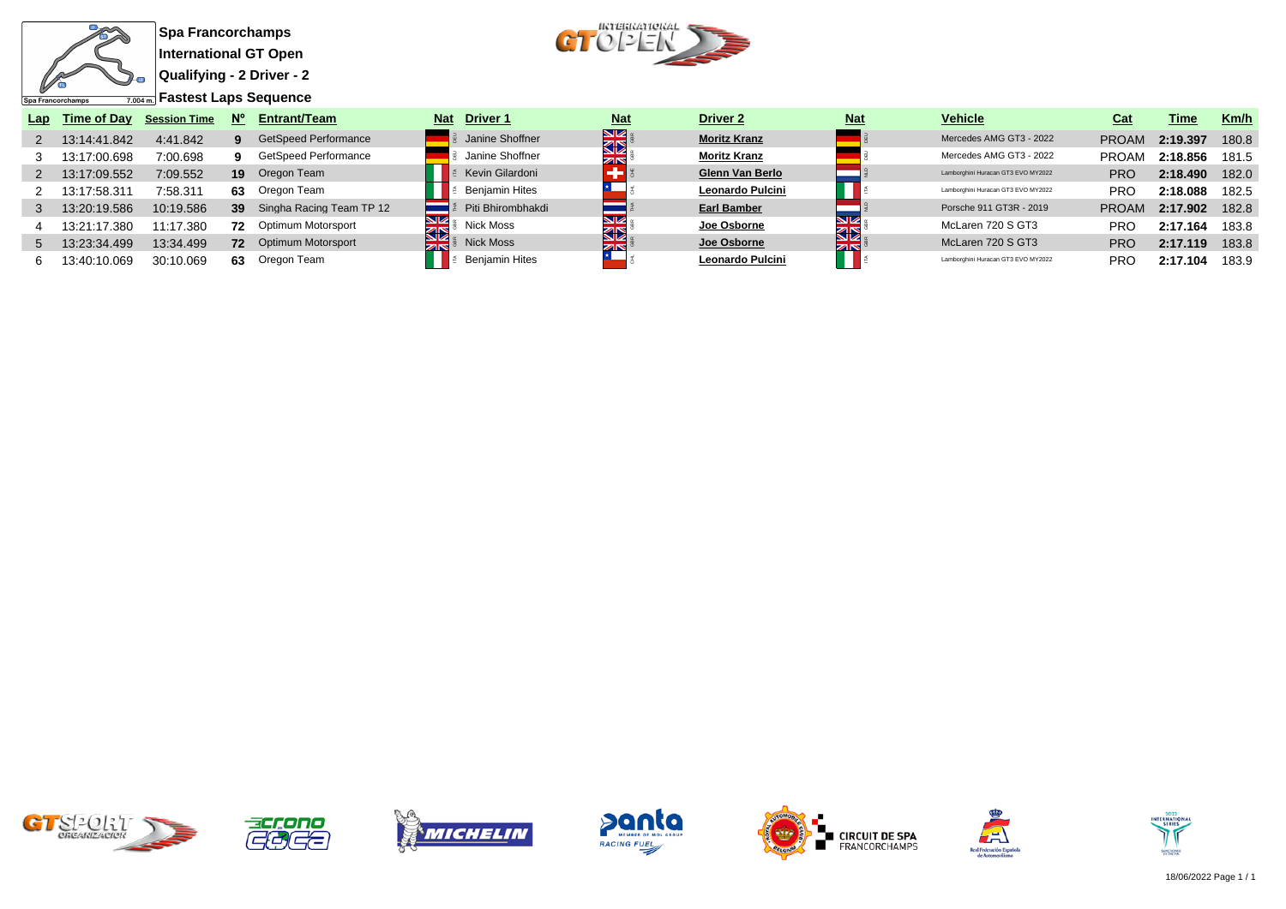

**Qualifying - 2 Driver - 2**



| Lap | Time of Day  | <b>Session Time</b> | $N^{\circ}$ | Entrant/Team                | <b>Nat</b> | <b>Driver 1</b>       | <b>Nat</b> | <b>Driver 2</b>     | <b>Nat</b> | <b>Vehicle</b>                     | Cat          | Time     | Km/h  |
|-----|--------------|---------------------|-------------|-----------------------------|------------|-----------------------|------------|---------------------|------------|------------------------------------|--------------|----------|-------|
|     | 13:14:41.842 | 4:41.842            |             | <b>GetSpeed Performance</b> |            | Janine Shoffner       | <b>SIE</b> | <b>Moritz Kranz</b> |            | Mercedes AMG GT3 - 2022            | <b>PROAM</b> | 2:19.397 | 180.8 |
|     | 13:17:00.698 | 7:00.698            |             | GetSpeed Performance        |            | Janine Shoffner       | <b>ZIN</b> | <b>Moritz Kranz</b> |            | Mercedes AMG GT3 - 2022            | <b>PROAM</b> | 2:18.856 | 181.5 |
|     | 13:17:09.552 | 7:09.552            | 19          | Oregon Team                 |            | Kevin Gilardoni       |            | Glenn Van Berlo     |            | Lamborghini Huracan GT3 EVO MY2022 | <b>PRC</b>   | 2:18.490 | 182.0 |
|     | 13:17:58.311 | 7:58.311            | 63.         | Oregon Team                 |            | <b>Beniamin Hites</b> |            | Leonardo Pulcini    |            | Lamborghini Huracan GT3 EVO MY2022 | <b>PRC</b>   | 2:18.088 | 182.5 |
|     | 3.20.19.586  | 10:19.586           | 39          | Singha Racing Team TP 12    |            | Piti Bhirombhakdi     |            | <b>Earl Bamber</b>  |            | Porsche 911 GT3R - 2019            | <b>PROAM</b> | 2:17.902 | 182.8 |
|     | 13:21:17.380 | 1:17.380            | 72          | Optimum Motorsport          | 33         | <b>Nick Moss</b>      |            | Joe Osborne         | à<br>ସ⊠    | McLaren 720 S GT3                  | <b>PRC</b>   | 2:17.164 | 183.8 |
|     | 3:23:34.499  | 13:34.499           | 72          | Optimum Motorsport          | ZK         | <b>Nick Moss</b>      | ZK         | Joe Osborne         | zis        | McLaren 720 S GT3                  | <b>PRC</b>   | 2:17.119 | 183.8 |
|     | 13:40:10.069 | 30:10.069           | 63.         | Oregon Team                 |            | Benjamin Hites        |            | Leonardo Pulcini    |            | Lamborghini Huracan GT3 EVO MY2022 | <b>PRC</b>   | 2:17.104 | 183.9 |















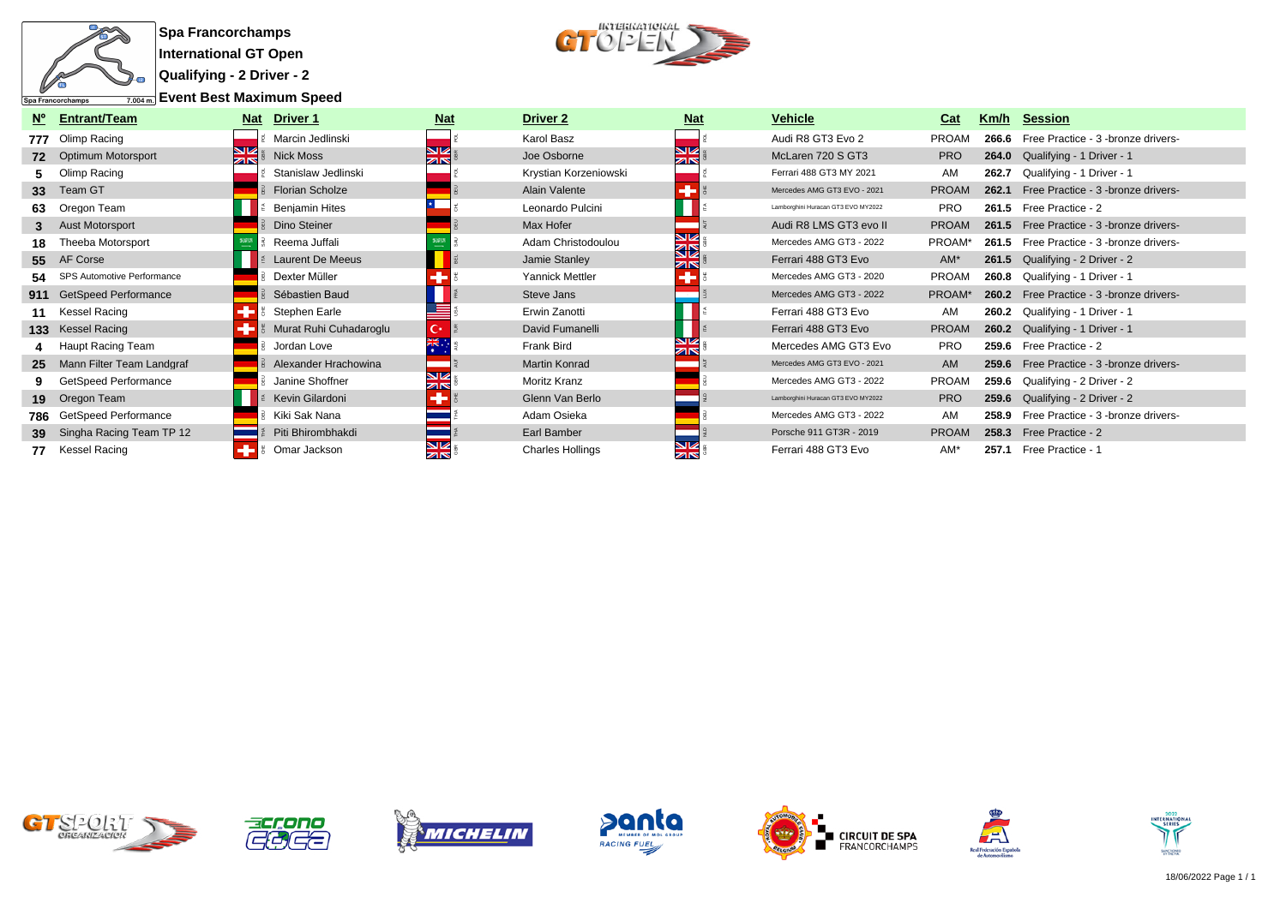

**Qualifying - 2 Driver - 2**

**Event Best Maximum Speed**



| N°              | <b>Entrant/Team</b>           | <b>Nat</b>    | Driver 1                | <b>Nat</b>                 | Driver 2                | <u>Nat</u>         | <b>Vehicle</b>                     | Cat          | Km/h  | Session                                   |
|-----------------|-------------------------------|---------------|-------------------------|----------------------------|-------------------------|--------------------|------------------------------------|--------------|-------|-------------------------------------------|
|                 | 777 Olimp Racing              |               | Marcin Jedlinski        |                            | Karol Basz              |                    | Audi R8 GT3 Evo 2                  | <b>PROAM</b> | 266.6 | Free Practice - 3 -bronze drivers-        |
|                 | 72 Optimum Motorsport         | $\frac{N}{N}$ | <b>Nick Moss</b>        | <b>NIZ</b><br>$z_{\rm IN}$ | Joe Osborne             | NØ<br>$z_{\rm IN}$ | McLaren 720 S GT3                  | <b>PRO</b>   |       | 264.0 Qualifying - 1 Driver - 1           |
|                 | Olimp Racing                  |               | Stanislaw Jedlinski     |                            | Krystian Korzeniowski   |                    | Ferrari 488 GT3 MY 2021            | AM           | 262.7 | Qualifying - 1 Driver - 1                 |
|                 | 33 Team GT                    |               | <b>Florian Scholze</b>  |                            | Alain Valente           |                    | Mercedes AMG GT3 EVO - 2021        | <b>PROAM</b> | 262.1 | Free Practice - 3 -bronze drivers-        |
| 63              | Oregon Team                   |               | <b>Benjamin Hites</b>   |                            | Leonardo Pulcini        |                    | Lamborghini Huracan GT3 EVO MY2022 | <b>PRO</b>   | 261.5 | Free Practice - 2                         |
|                 | <b>Aust Motorsport</b>        |               | Dino Steiner            |                            | Max Hofer               |                    | Audi R8 LMS GT3 evo II             | <b>PROAM</b> |       | 261.5 Free Practice - 3 -bronze drivers-  |
| 18              | Theeba Motorsport             |               | Reema Juffali           |                            | Adam Christodoulou      | NZ<br>32           | Mercedes AMG GT3 - 2022            | PROAM*       |       | 261.5 Free Practice - 3 -bronze drivers-  |
|                 | 55 AF Corse                   |               | <b>Laurent De Meeus</b> |                            | Jamie Stanley           | K                  | Ferrari 488 GT3 Evo                | $AM*$        |       | 261.5 Qualifying - 2 Driver - 2           |
|                 | 54 SPS Automotive Performance |               | Dexter Müller           |                            | Yannick Mettler         |                    | Mercedes AMG GT3 - 2020            | <b>PROAM</b> |       | 260.8 Qualifying - 1 Driver - 1           |
|                 | 911 GetSpeed Performance      |               | Sébastien Baud          |                            | Steve Jans              |                    | Mercedes AMG GT3 - 2022            | PROAM*       |       | 260.2 Free Practice - 3 - bronze drivers- |
|                 | 11 Kessel Racing              |               | Stephen Earle           |                            | Erwin Zanotti           |                    | Ferrari 488 GT3 Evo                | AM           |       | 260.2 Qualifying - 1 Driver - 1           |
|                 | 133 Kessel Racing             |               | Murat Ruhi Cuhadaroglu  | С×                         | David Fumanelli         |                    | Ferrari 488 GT3 Evo                | <b>PROAM</b> |       | 260.2 Qualifying - 1 Driver - 1           |
|                 | Haupt Racing Team             |               | Jordan Love             |                            | <b>Frank Bird</b>       | ZK                 | Mercedes AMG GT3 Evo               | <b>PRO</b>   | 259.6 | Free Practice - 2                         |
|                 | 25 Mann Filter Team Landgraf  |               | Alexander Hrachowina    |                            | Martin Konrad           |                    | Mercedes AMG GT3 EVO - 2021        | <b>AM</b>    |       | 259.6 Free Practice - 3 - bronze drivers- |
|                 | GetSpeed Performance          |               | Janine Shoffner         | <b>SIZ</b><br>Øß           | Moritz Kranz            |                    | Mercedes AMG GT3 - 2022            | PROAM        | 259.6 | Qualifying - 2 Driver - 2                 |
|                 | 19 Oregon Team                |               | Kevin Gilardoni         |                            | Glenn Van Berlo         |                    | Lamborghini Huracan GT3 EVO MY2022 | <b>PRO</b>   |       | 259.6 Qualifying - 2 Driver - 2           |
|                 | 786 GetSpeed Performance      |               | Kiki Sak Nana           |                            | Adam Osieka             |                    | Mercedes AMG GT3 - 2022            | AM           | 258.9 | Free Practice - 3 -bronze drivers-        |
| 39 <sup>°</sup> | Singha Racing Team TP 12      |               | Piti Bhirombhakdi       |                            | Earl Bamber             |                    | Porsche 911 GT3R - 2019            | <b>PROAM</b> |       | 258.3 Free Practice - 2                   |
|                 | 77 Kessel Racing              |               | Omar Jackson            | VØ<br>ZK                   | <b>Charles Hollings</b> | NØ<br>ZK           | Ferrari 488 GT3 Evo                | $AM*$        |       | 257.1 Free Practice - 1                   |













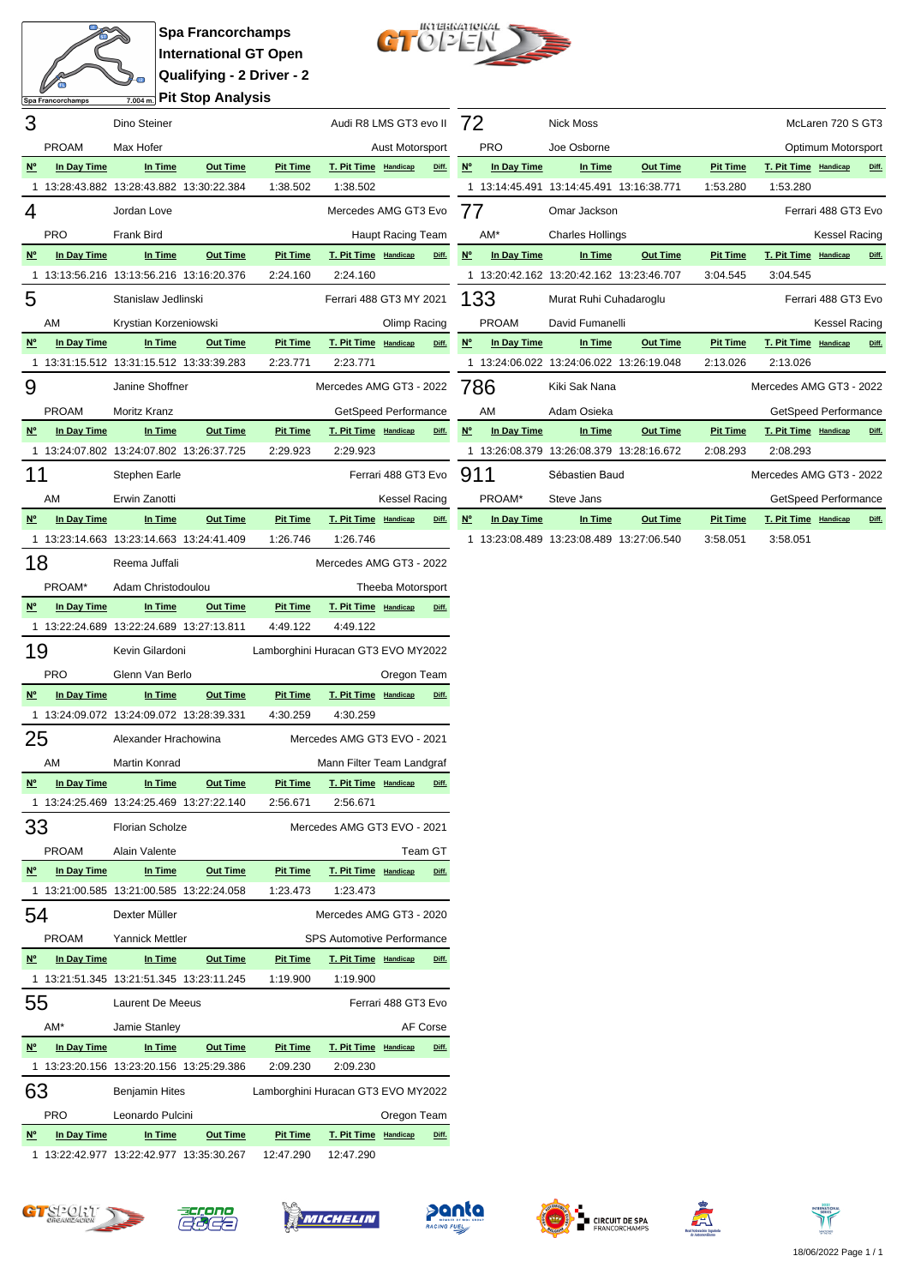

**Spa Francorchamps International GT Open Qualifying - 2 Driver - 2 Pit Stop Analysis**



| 3                                     |              | Dino Steiner                             |                 |                                    | Audi R8 LMS GT3 evo II      |                          |       | 72          |              | <b>Nick Moss</b>                         |                 |                 | McLaren 720 S GT3       |                      |       |
|---------------------------------------|--------------|------------------------------------------|-----------------|------------------------------------|-----------------------------|--------------------------|-------|-------------|--------------|------------------------------------------|-----------------|-----------------|-------------------------|----------------------|-------|
|                                       | <b>PROAM</b> | Max Hofer                                |                 |                                    |                             | Aust Motorsport          |       |             | <b>PRO</b>   | Joe Osborne                              |                 |                 | Optimum Motorsport      |                      |       |
| $N^{\circ}$                           | In Day Time  | In Time                                  | <b>Out Time</b> | <b>Pit Time</b>                    | T. Pit Time Handicap        |                          | Diff. | $N^{\circ}$ | In Day Time  | In Time                                  | <b>Out Time</b> | <b>Pit Time</b> | T. Pit Time Handicap    |                      | Diff. |
|                                       |              | 1 13:28:43.882 13:28:43.882 13:30:22.384 |                 | 1:38.502                           | 1:38.502                    |                          |       |             |              | 1 13:14:45.491 13:14:45.491 13:16:38.771 |                 | 1:53.280        | 1:53.280                |                      |       |
| 4                                     |              | Jordan Love                              |                 |                                    | Mercedes AMG GT3 Evo        |                          |       | 77          |              | Omar Jackson                             |                 |                 | Ferrari 488 GT3 Evo     |                      |       |
|                                       | <b>PRO</b>   | Frank Bird                               |                 |                                    |                             | <b>Haupt Racing Team</b> |       |             | AM*          | <b>Charles Hollings</b>                  |                 |                 |                         | <b>Kessel Racing</b> |       |
| $N^{\circ}$                           | In Day Time  | In Time                                  | <b>Out Time</b> | <b>Pit Time</b>                    | T. Pit Time Handicap        |                          | Diff. | $N^{\circ}$ | In Day Time  | In Time                                  | <b>Out Time</b> | <b>Pit Time</b> | T. Pit Time Handicap    |                      | Diff. |
|                                       |              | 1 13:13:56.216 13:13:56.216 13:16:20.376 |                 | 2:24.160                           | 2:24.160                    |                          |       |             |              | 1 13:20:42.162 13:20:42.162 13:23:46.707 |                 | 3:04.545        | 3:04.545                |                      |       |
| 5                                     |              | Stanislaw Jedlinski                      |                 |                                    | Ferrari 488 GT3 MY 2021     |                          |       | 133         |              | Murat Ruhi Cuhadaroglu                   |                 |                 | Ferrari 488 GT3 Evo     |                      |       |
|                                       | AM           | Krystian Korzeniowski                    |                 |                                    |                             | Olimp Racing             |       |             | <b>PROAM</b> | David Fumanelli                          |                 |                 |                         | <b>Kessel Racing</b> |       |
| $N^{\circ}$                           | In Day Time  | In Time                                  | <b>Out Time</b> | <b>Pit Time</b>                    | T. Pit Time Handicap        |                          | Diff. | $N^{\circ}$ | In Day Time  | In Time                                  | <b>Out Time</b> | <b>Pit Time</b> | T. Pit Time Handicap    |                      | Diff. |
|                                       |              | 1 13:31:15.512 13:31:15.512 13:33:39.283 |                 | 2:23.771                           | 2:23.771                    |                          |       |             |              | 1 13:24:06.022 13:24:06.022 13:26:19.048 |                 | 2:13.026        | 2:13.026                |                      |       |
| 9                                     |              | Janine Shoffner                          |                 |                                    | Mercedes AMG GT3 - 2022     |                          |       | 786         |              | Kiki Sak Nana                            |                 |                 | Mercedes AMG GT3 - 2022 |                      |       |
|                                       | <b>PROAM</b> | Moritz Kranz                             |                 |                                    | GetSpeed Performance        |                          |       |             | AM           | Adam Osieka                              |                 |                 | GetSpeed Performance    |                      |       |
| $N^{\circ}$                           | In Day Time  | In Time                                  | <b>Out Time</b> | <b>Pit Time</b>                    | T. Pit Time Handicap        |                          | Diff. | $N^{\circ}$ | In Day Time  | In Time                                  | <b>Out Time</b> | <b>Pit Time</b> | T. Pit Time Handicap    |                      | Diff. |
|                                       |              | 1 13:24:07.802 13:24:07.802 13:26:37.725 |                 | 2:29.923                           | 2:29.923                    |                          |       |             |              | 1 13:26:08.379 13:26:08.379 13:28:16.672 |                 | 2:08.293        | 2:08.293                |                      |       |
| 11                                    |              | Stephen Earle                            |                 |                                    |                             | Ferrari 488 GT3 Evo      |       | 911         |              | Sébastien Baud                           |                 |                 | Mercedes AMG GT3 - 2022 |                      |       |
|                                       | AM           | Erwin Zanotti                            |                 |                                    |                             | <b>Kessel Racing</b>     |       |             | PROAM*       | Steve Jans                               |                 |                 | GetSpeed Performance    |                      |       |
| $\underline{\mathsf{N}^{\mathsf{o}}}$ | In Day Time  | In Time                                  | <b>Out Time</b> | <b>Pit Time</b>                    | T. Pit Time Handicap        |                          | Diff. | $N^{\circ}$ | In Day Time  | In Time                                  | <b>Out Time</b> | <b>Pit Time</b> | T. Pit Time Handicap    |                      | Diff. |
|                                       |              | 1 13:23:14.663 13:23:14.663 13:24:41.409 |                 | 1:26.746                           | 1:26.746                    |                          |       |             |              | 1 13:23:08.489 13:23:08.489 13:27:06.540 |                 | 3:58.051        | 3:58.051                |                      |       |
| 18                                    |              | Reema Juffali                            |                 |                                    | Mercedes AMG GT3 - 2022     |                          |       |             |              |                                          |                 |                 |                         |                      |       |
|                                       | PROAM*       | Adam Christodoulou                       |                 |                                    |                             | Theeba Motorsport        |       |             |              |                                          |                 |                 |                         |                      |       |
| $N^{\circ}$                           | In Day Time  | In Time                                  | <b>Out Time</b> | <b>Pit Time</b>                    | T. Pit Time Handicap        |                          | Diff. |             |              |                                          |                 |                 |                         |                      |       |
|                                       |              | 1 13:22:24.689 13:22:24.689 13:27:13.811 |                 | 4:49.122                           | 4:49.122                    |                          |       |             |              |                                          |                 |                 |                         |                      |       |
| 19                                    |              | Kevin Gilardoni                          |                 | Lamborghini Huracan GT3 EVO MY2022 |                             |                          |       |             |              |                                          |                 |                 |                         |                      |       |
|                                       | <b>PRO</b>   | Glenn Van Berlo                          |                 |                                    |                             | Oregon Team              |       |             |              |                                          |                 |                 |                         |                      |       |
| $N^{\circ}$                           | In Day Time  | In Time                                  | <b>Out Time</b> | <b>Pit Time</b>                    | T. Pit Time Handicap        |                          | Diff. |             |              |                                          |                 |                 |                         |                      |       |
|                                       |              | 1 13:24:09.072 13:24:09.072 13:28:39.331 |                 | 4:30.259                           | 4:30.259                    |                          |       |             |              |                                          |                 |                 |                         |                      |       |
| 25                                    |              | Alexander Hrachowina                     |                 |                                    | Mercedes AMG GT3 EVO - 2021 |                          |       |             |              |                                          |                 |                 |                         |                      |       |
|                                       | AM           | Martin Konrad                            |                 |                                    | Mann Filter Team Landgraf   |                          |       |             |              |                                          |                 |                 |                         |                      |       |
| <b>N°</b>                             | In Day Time  | In Time                                  | <b>Out Time</b> | <b>Pit Time</b>                    | T. Pit Time Handicap        |                          | Diff. |             |              |                                          |                 |                 |                         |                      |       |
|                                       |              | 1 13:24:25.469 13:24:25.469 13:27:22.140 |                 | 2:56.671                           | 2:56.671                    |                          |       |             |              |                                          |                 |                 |                         |                      |       |
| 33                                    |              | Florian Scholze                          |                 |                                    | Mercedes AMG GT3 EVO - 2021 |                          |       |             |              |                                          |                 |                 |                         |                      |       |





PROAM Alain Valente **Team GT Nº In Day Time In Time Out Time Pit Time T. Pit Time Handicap Diff.**

54 Dexter Müller Miller Mercedes AMG GT3 - 2020 PROAM Yannick Mettler SPS Automotive Performance **Nº In Day Time In Time Out Time Pit Time T. Pit Time Handicap Diff.**

55 Laurent De Meeus Ferrari 488 GT3 Evo AM\* Jamie Stanley **AM\*** AF Corse **Nº In Day Time In Time Out Time Pit Time T. Pit Time Handicap Diff.**

63 Benjamin Hites Lamborghini Huracan GT3 EVO MY2022 PRO Leonardo Pulcini Christianus Cregon Team **Nº In Day Time In Time Out Time Pit Time T. Pit Time Handicap Diff.**

1 13:21:00.585 13:21:00.585 13:22:24.058 1:23.473 1:23.473

1 13:21:51.345 13:21:51.345 13:23:11.245 1:19.900 1:19.900

1 13:23:20.156 13:23:20.156 13:25:29.386 2:09.230 2:09.230

1 13:22:42.977 13:22:42.977 13:35:30.267 12:47.290 12:47.290